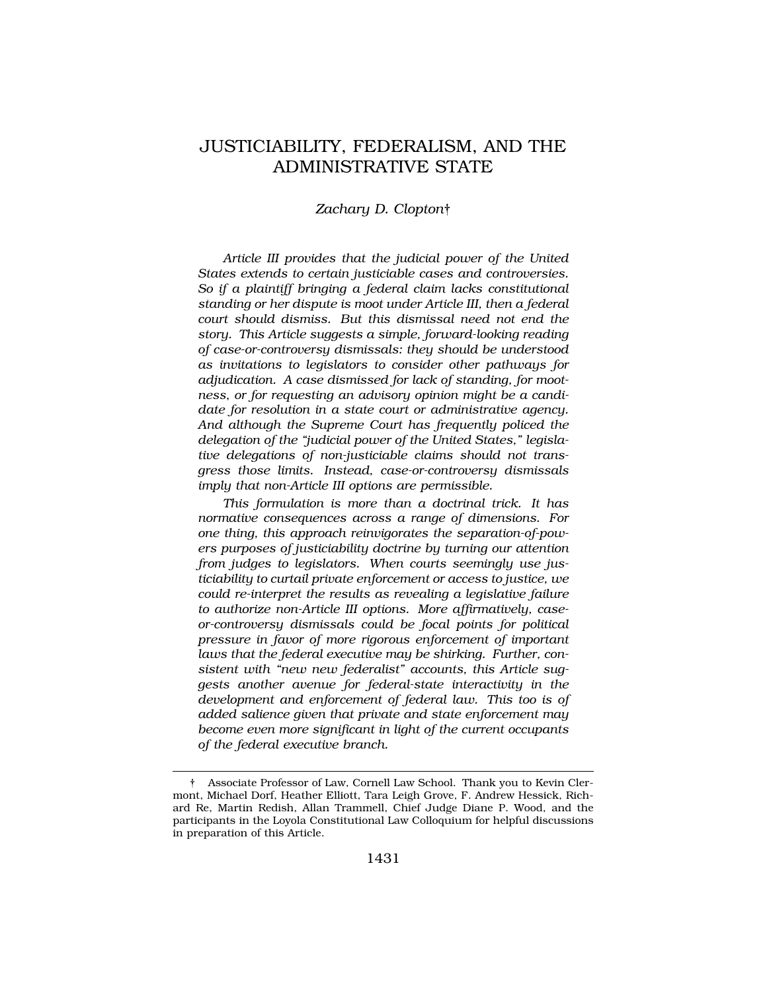# JUSTICIABILITY, FEDERALISM, AND THE ADMINISTRATIVE STATE

## *Zachary D. Clopton*†

*Article III provides that the judicial power of the United States extends to certain justiciable cases and controversies. So if a plaintiff bringing a federal claim lacks constitutional standing or her dispute is moot under Article III, then a federal court should dismiss. But this dismissal need not end the story. This Article suggests a simple, forward-looking reading of case-or-controversy dismissals: they should be understood as invitations to legislators to consider other pathways for adjudication. A case dismissed for lack of standing, for mootness, or for requesting an advisory opinion might be a candidate for resolution in a state court or administrative agency. And although the Supreme Court has frequently policed the delegation of the "judicial power of the United States," legislative delegations of non-justiciable claims should not transgress those limits. Instead, case-or-controversy dismissals imply that non-Article III options are permissible.* 

*This formulation is more than a doctrinal trick. It has normative consequences across a range of dimensions. For one thing, this approach reinvigorates the separation-of-powers purposes of justiciability doctrine by turning our attention from judges to legislators. When courts seemingly use justiciability to curtail private enforcement or access to justice, we could re-interpret the results as revealing a legislative failure to authorize non-Article III options. More affirmatively, caseor-controversy dismissals could be focal points for political pressure in favor of more rigorous enforcement of important laws that the federal executive may be shirking. Further, consistent with "new new federalist" accounts, this Article suggests another avenue for federal-state interactivity in the development and enforcement of federal law. This too is of added salience given that private and state enforcement may become even more significant in light of the current occupants of the federal executive branch.* 

<sup>†</sup> Associate Professor of Law, Cornell Law School. Thank you to Kevin Clermont, Michael Dorf, Heather Elliott, Tara Leigh Grove, F. Andrew Hessick, Richard Re, Martin Redish, Allan Trammell, Chief Judge Diane P. Wood, and the participants in the Loyola Constitutional Law Colloquium for helpful discussions in preparation of this Article.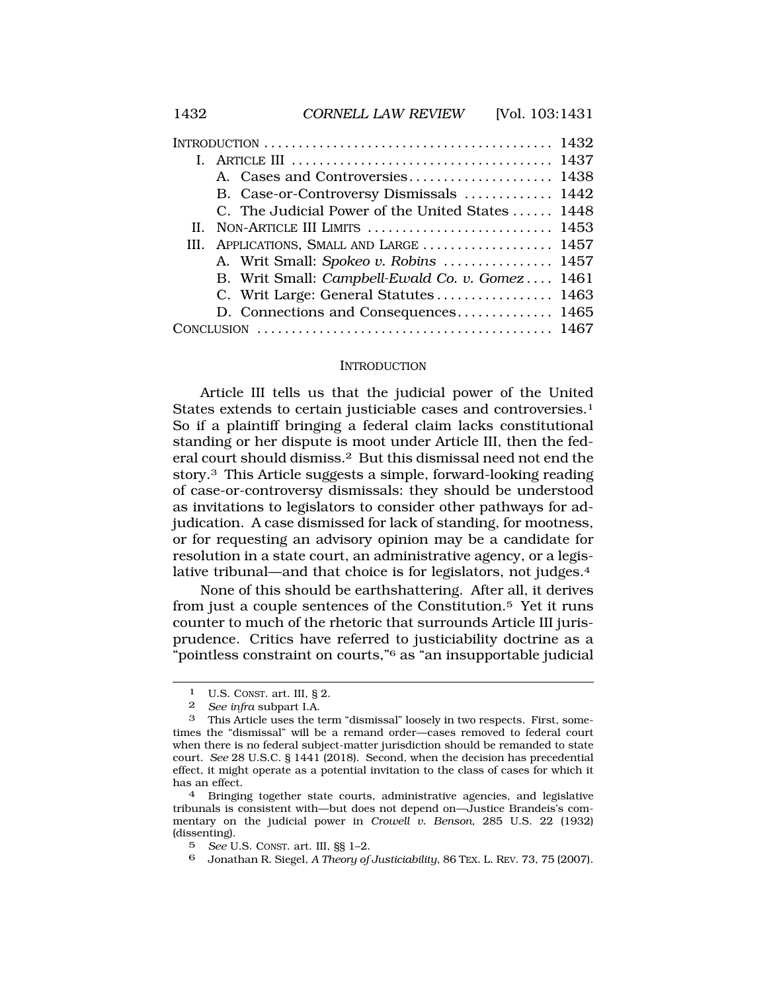|  | B. Case-or-Controversy Dismissals  1442          |  |
|--|--------------------------------------------------|--|
|  | C. The Judicial Power of the United States  1448 |  |
|  | II. NON-ARTICLE III LIMITS  1453                 |  |
|  | III. APPLICATIONS, SMALL AND LARGE  1457         |  |
|  | A. Writ Small: Spokeo v. Robins  1457            |  |
|  | B. Writ Small: Campbell-Ewald Co. v. Gomez 1461  |  |
|  | C. Writ Large: General Statutes 1463             |  |
|  | D. Connections and Consequences 1465             |  |
|  |                                                  |  |
|  |                                                  |  |

#### **INTRODUCTION**

Article III tells us that the judicial power of the United States extends to certain justiciable cases and controversies.<sup>1</sup> So if a plaintiff bringing a federal claim lacks constitutional standing or her dispute is moot under Article III, then the federal court should dismiss.2 But this dismissal need not end the story.3 This Article suggests a simple, forward-looking reading of case-or-controversy dismissals: they should be understood as invitations to legislators to consider other pathways for adjudication. A case dismissed for lack of standing, for mootness, or for requesting an advisory opinion may be a candidate for resolution in a state court, an administrative agency, or a legislative tribunal—and that choice is for legislators, not judges.4

None of this should be earthshattering. After all, it derives from just a couple sentences of the Constitution.5 Yet it runs counter to much of the rhetoric that surrounds Article III jurisprudence. Critics have referred to justiciability doctrine as a "pointless constraint on courts,"6 as "an insupportable judicial

<sup>1</sup> U.S. CONST. art. III, § 2.

<sup>2</sup> *See infra* subpart I.A.

<sup>3</sup> This Article uses the term "dismissal" loosely in two respects. First, sometimes the "dismissal" will be a remand order—cases removed to federal court when there is no federal subject-matter jurisdiction should be remanded to state court. *See* 28 U.S.C. § 1441 (2018). Second, when the decision has precedential effect, it might operate as a potential invitation to the class of cases for which it has an effect. 4 Bringing together state courts, administrative agencies, and legislative

tribunals is consistent with—but does not depend on—Justice Brandeis's commentary on the judicial power in *Crowell v. Benson*, 285 U.S. 22 (1932) (dissenting).

<sup>5</sup> *See* U.S. CONST. art. III, §§ 1–2.

<sup>6</sup> Jonathan R. Siegel, *A Theory of Justiciability*, 86 TEX. L. REV. 73, 75 (2007).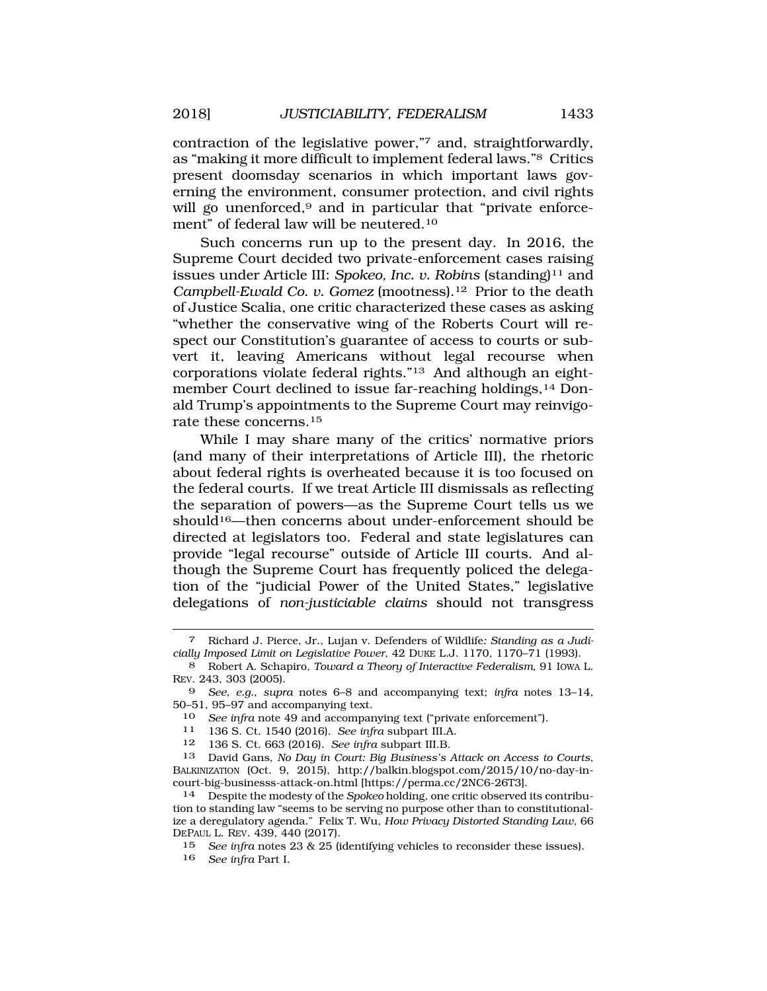contraction of the legislative power,"7 and, straightforwardly, as "making it more difficult to implement federal laws."8 Critics present doomsday scenarios in which important laws governing the environment, consumer protection, and civil rights will go unenforced,<sup>9</sup> and in particular that "private enforcement" of federal law will be [neutered.10](https://neutered.10)

Such concerns run up to the present day. In 2016, the Supreme Court decided two private-enforcement cases raising issues under Article III: Spokeo, Inc. v. Robins (standing)<sup>11</sup> and *Campbell-Ewald Co. v. Gomez* (mootness).<sup>12</sup> Prior to the death of Justice Scalia, one critic characterized these cases as asking "whether the conservative wing of the Roberts Court will respect our Constitution's guarantee of access to courts or subvert it, leaving Americans without legal recourse when corporations violate federal rights."13 And although an eightmember Court declined to issue far-reaching holdings,14 Donald Trump's appointments to the Supreme Court may reinvigorate these [concerns.15](https://concerns.15)

While I may share many of the critics' normative priors (and many of their interpretations of Article III), the rhetoric about federal rights is overheated because it is too focused on the federal courts. If we treat Article III dismissals as reflecting the separation of powers—as the Supreme Court tells us we  $should$ <sup>16—then concerns about under-enforcement should be</sup> directed at legislators too. Federal and state legislatures can provide "legal recourse" outside of Article III courts. And although the Supreme Court has frequently policed the delegation of the "judicial Power of the United States," legislative delegations of *non-justiciable claims* should not transgress

- 10 *See infra* note 49 and accompanying text ("private enforcement").<br>11 136 S Ct 1540 (2016) *See infra subpart III* A
- 11 136 S. Ct. 1540 (2016). *See infra* subpart III.A.
- 12 136 S. Ct. 663 (2016). *See infra* subpart III.B.

16 *See infra* Part I.

<sup>7</sup> Richard J. Pierce, Jr., Lujan v. Defenders of Wildlife*: Standing as a Judicially Imposed Limit on Legislative Power*, 42 DUKE L.J. 1170, 1170–71 (1993).

<sup>8</sup> Robert A. Schapiro, *Toward a Theory of Interactive Federalism*, 91 IOWA L. REV. 243, 303 (2005).

<sup>9</sup> *See, e.g.*, *supra* notes 6–8 and accompanying text; *infra* notes 13–14, 50–51, 95–97 and accompanying text.

<sup>13</sup> David Gans, *No Day in Court: Big Business's Attack on Access to Courts*, BALKINIZATION (Oct. 9, 2015), http://balkin.blogspot.com/2015/10/no-day-in-<br>court-big-businesss-attack-on.html [https://perma.cc/2NC6-26T3].

<sup>&</sup>lt;sup>14</sup> Despite the modesty of the *Spokeo* holding, one critic observed its contribution to standing law "seems to be serving no purpose other than to constitutionalize a deregulatory agenda." Felix T. Wu, *How Privacy Distorted Standing Law*, 66 DEPAUL L. REV. 439, 440 (2017).

<sup>15</sup> *See infra* notes 23 & 25 (identifying vehicles to reconsider these issues).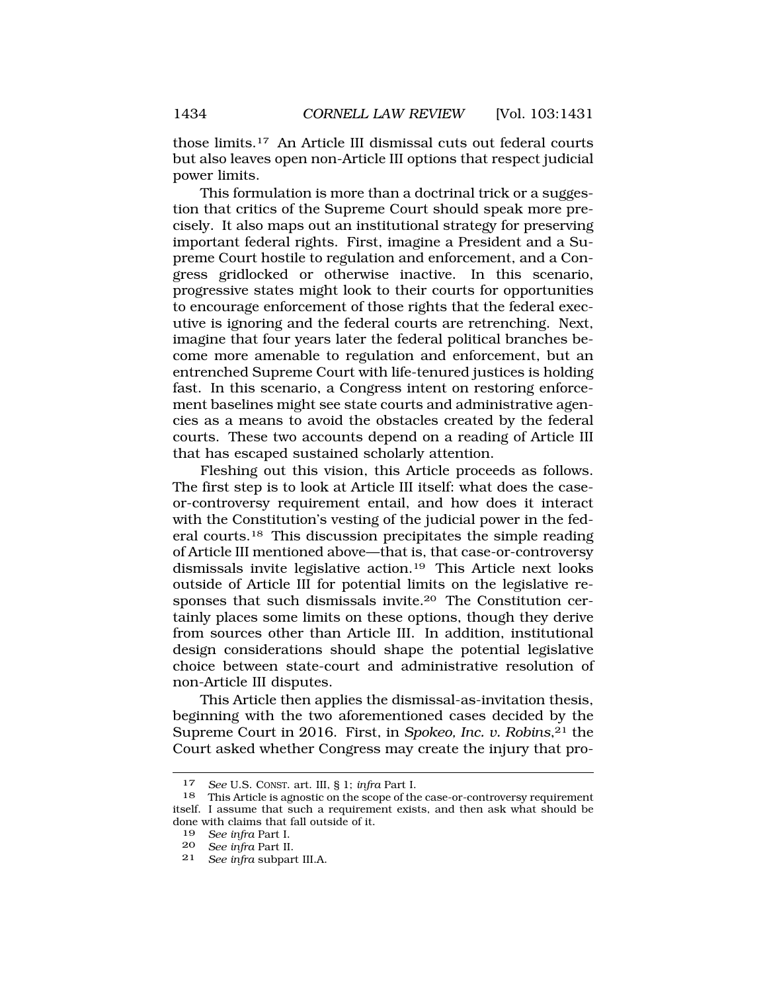those [limits.17](https://limits.17) An Article III dismissal cuts out federal courts but also leaves open non-Article III options that respect judicial power limits.

This formulation is more than a doctrinal trick or a suggestion that critics of the Supreme Court should speak more precisely. It also maps out an institutional strategy for preserving important federal rights. First, imagine a President and a Supreme Court hostile to regulation and enforcement, and a Congress gridlocked or otherwise inactive. In this scenario, progressive states might look to their courts for opportunities to encourage enforcement of those rights that the federal executive is ignoring and the federal courts are retrenching. Next, imagine that four years later the federal political branches become more amenable to regulation and enforcement, but an entrenched Supreme Court with life-tenured justices is holding fast. In this scenario, a Congress intent on restoring enforcement baselines might see state courts and administrative agencies as a means to avoid the obstacles created by the federal courts. These two accounts depend on a reading of Article III that has escaped sustained scholarly attention.

Fleshing out this vision, this Article proceeds as follows. The first step is to look at Article III itself: what does the caseor-controversy requirement entail, and how does it interact with the Constitution's vesting of the judicial power in the federal [courts.18](https://courts.18) This discussion precipitates the simple reading of Article III mentioned above—that is, that case-or-controversy dismissals invite legislative [action.19](https://action.19) This Article next looks outside of Article III for potential limits on the legislative responses that such dismissals [invite.20](https://invite.20) The Constitution certainly places some limits on these options, though they derive from sources other than Article III. In addition, institutional design considerations should shape the potential legislative choice between state-court and administrative resolution of non-Article III disputes.

This Article then applies the dismissal-as-invitation thesis, beginning with the two aforementioned cases decided by the Supreme Court in 2016. First, in *Spokeo, Inc. v. Robins*,<sup>21</sup> the Court asked whether Congress may create the injury that pro-

<sup>17</sup> *See* U.S. CONST. art. III, § 1; *infra* Part I.

<sup>18</sup> This Article is agnostic on the scope of the case-or-controversy requirement itself. I assume that such a requirement exists, and then ask what should be done with claims that fall outside of it.

<sup>19</sup> *See infra* Part I.

<sup>20</sup> *See infra* Part II.

<sup>21</sup> *See infra* subpart III.A.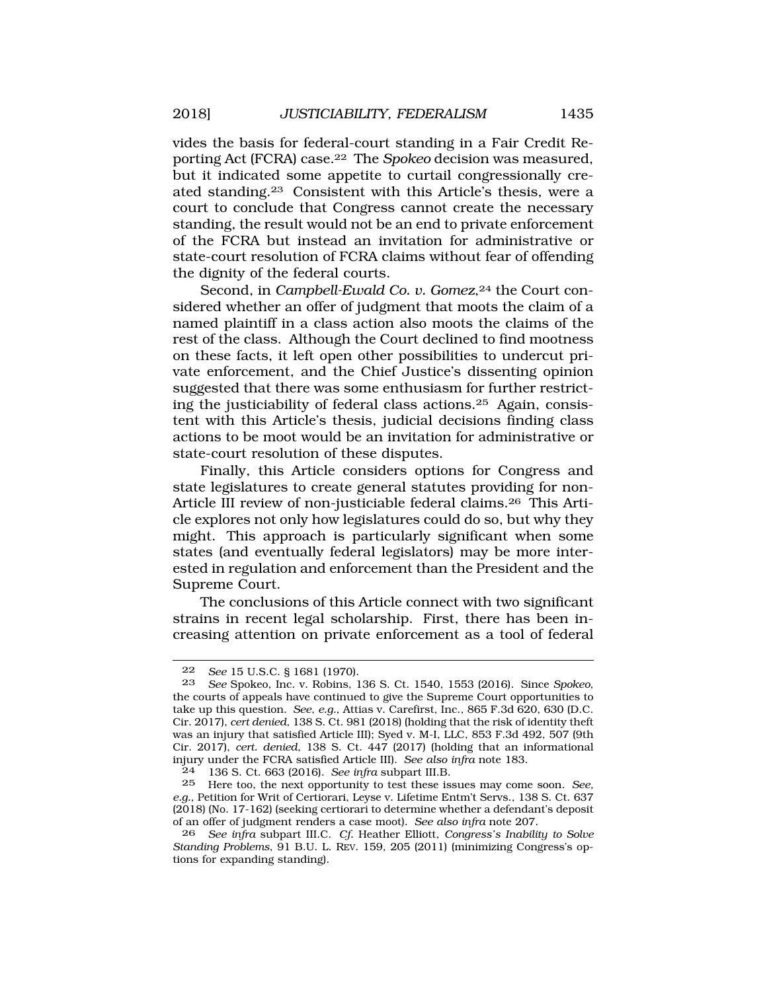vides the basis for federal-court standing in a Fair Credit Reporting Act (FCRA) case.22 The *Spokeo* decision was measured, but it indicated some appetite to curtail congressionally created [standing.23](https://standing.23) Consistent with this Article's thesis, were a court to conclude that Congress cannot create the necessary standing, the result would not be an end to private enforcement of the FCRA but instead an invitation for administrative or state-court resolution of FCRA claims without fear of offending the dignity of the federal courts.

Second, in *Campbell-Ewald Co. v. Gomez*,<sup>24</sup> the Court considered whether an offer of judgment that moots the claim of a named plaintiff in a class action also moots the claims of the rest of the class. Although the Court declined to find mootness on these facts, it left open other possibilities to undercut private enforcement, and the Chief Justice's dissenting opinion suggested that there was some enthusiasm for further restricting the justiciability of federal class [actions.25](https://actions.25) Again, consistent with this Article's thesis, judicial decisions finding class actions to be moot would be an invitation for administrative or state-court resolution of these disputes.

Finally, this Article considers options for Congress and state legislatures to create general statutes providing for non-Article III review of non-justiciable federal [claims.26](https://claims.26) This Article explores not only how legislatures could do so, but why they might. This approach is particularly significant when some states (and eventually federal legislators) may be more interested in regulation and enforcement than the President and the Supreme Court.

The conclusions of this Article connect with two significant strains in recent legal scholarship. First, there has been increasing attention on private enforcement as a tool of federal

<sup>22</sup> *See* 15 U.S.C. § 1681 (1970).

<sup>23</sup> *See* Spokeo, Inc. v. Robins, 136 S. Ct. 1540, 1553 (2016). Since *Spokeo*, the courts of appeals have continued to give the Supreme Court opportunities to take up this question. *See*, *e.g.*, Attias v. Carefirst, Inc., 865 F.3d 620, 630 (D.C. Cir. 2017), *cert denied*, 138 S. Ct. 981 (2018) (holding that the risk of identity theft was an injury that satisfied Article III); Syed v. M-I, LLC, 853 F.3d 492, 507 (9th Cir. 2017), *cert. denied*, 138 S. Ct. 447 (2017) (holding that an informational injury under the FCRA satisfied Article III). *See also infra* note 183.

<sup>24 136</sup> S. Ct. 663 (2016). *See infra* subpart III.B.

<sup>25</sup> Here too, the next opportunity to test these issues may come soon. *See, e.g.*, Petition for Writ of Certiorari, Leyse v. Lifetime Entm't Servs., 138 S. Ct. 637 (2018) (No. 17-162) (seeking certiorari to determine whether a defendant's deposit of an offer of judgment renders a case moot). *See also infra* note 207.

<sup>26</sup> *See infra* subpart III.C. *Cf.* Heather Elliott, *Congress's Inability to Solve Standing Problems*, 91 B.U. L. REV. 159, 205 (2011) (minimizing Congress's options for expanding standing).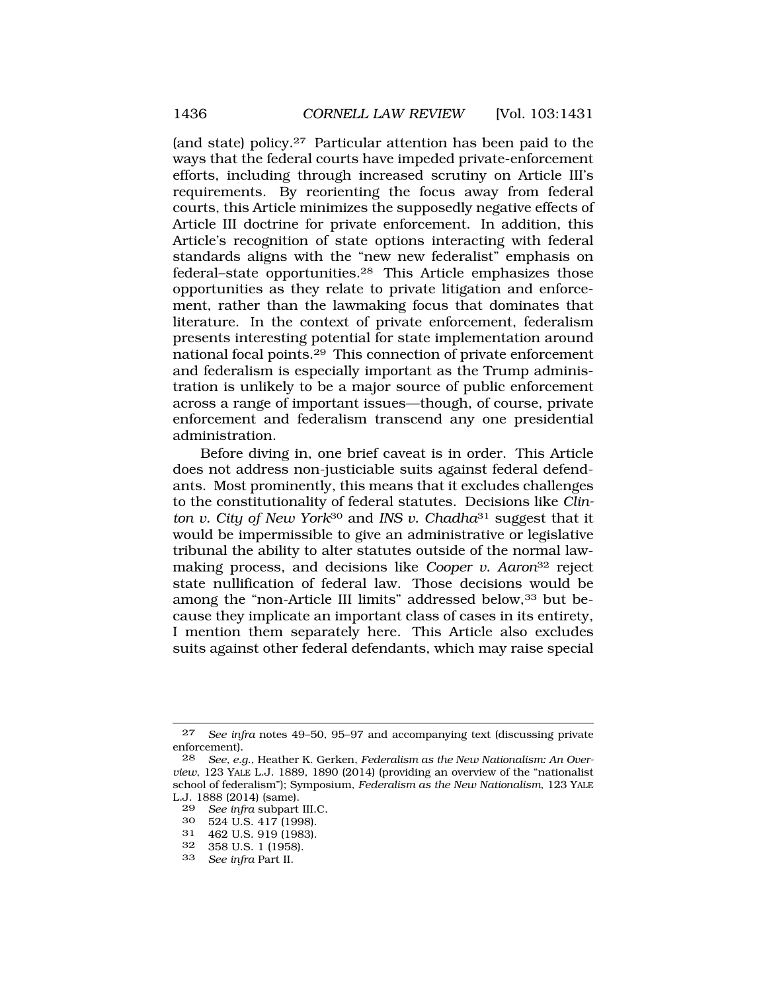(and state) [policy.27](https://policy.27) Particular attention has been paid to the ways that the federal courts have impeded private-enforcement efforts, including through increased scrutiny on Article III's requirements. By reorienting the focus away from federal courts, this Article minimizes the supposedly negative effects of Article III doctrine for private enforcement. In addition, this Article's recognition of state options interacting with federal standards aligns with the "new new federalist" emphasis on federal–state [opportunities.28](https://opportunities.28) This Article emphasizes those opportunities as they relate to private litigation and enforcement, rather than the lawmaking focus that dominates that literature. In the context of private enforcement, federalism presents interesting potential for state implementation around national focal [points.29](https://points.29) This connection of private enforcement and federalism is especially important as the Trump administration is unlikely to be a major source of public enforcement across a range of important issues—though, of course, private enforcement and federalism transcend any one presidential administration.

Before diving in, one brief caveat is in order. This Article does not address non-justiciable suits against federal defendants. Most prominently, this means that it excludes challenges to the constitutionality of federal statutes. Decisions like *Clinton v. City of New York*30 and *INS v. Chadha*31 suggest that it would be impermissible to give an administrative or legislative tribunal the ability to alter statutes outside of the normal lawmaking process, and decisions like *Cooper v. Aaron*32 reject state nullification of federal law. Those decisions would be among the "non-Article III limits" addressed below,<sup>33</sup> but because they implicate an important class of cases in its entirety, I mention them separately here. This Article also excludes suits against other federal defendants, which may raise special

- 29 *See infra* subpart III.C.
- 30 524 U.S. 417 (1998).
- 31 462 U.S. 919 (1983).<br>32 358 U.S. 1 (1958).
- 32 358 U.S. 1 (1958).<br>33 See infra Part II
- 33 *See infra* Part II.

<sup>27</sup> *See infra* notes 49–50, 95–97 and accompanying text (discussing private enforcement).

<sup>28</sup> *See, e.g.*, Heather K. Gerken, *Federalism as the New Nationalism: An Overview*, 123 YALE L.J. 1889, 1890 (2014) (providing an overview of the "nationalist school of federalism"); Symposium, *Federalism as the New Nationalism*, 123 YALE L.J. 1888 (2014) (same).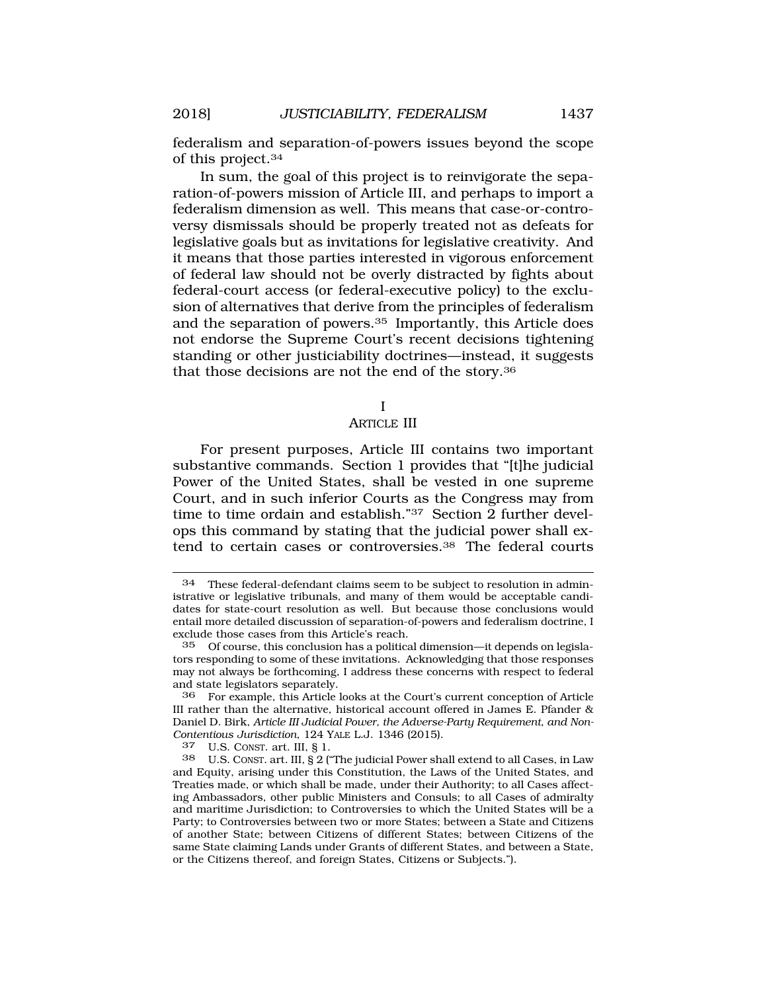federalism and separation-of-powers issues beyond the scope of this [project.34](https://project.34)

In sum, the goal of this project is to reinvigorate the separation-of-powers mission of Article III, and perhaps to import a federalism dimension as well. This means that case-or-controversy dismissals should be properly treated not as defeats for legislative goals but as invitations for legislative creativity. And it means that those parties interested in vigorous enforcement of federal law should not be overly distracted by fights about federal-court access (or federal-executive policy) to the exclusion of alternatives that derive from the principles of federalism and the separation of [powers.35](https://powers.35) Importantly, this Article does not endorse the Supreme Court's recent decisions tightening standing or other justiciability doctrines—instead, it suggests that those decisions are not the end of the [story.36](https://story.36)

#### I

## ARTICLE III

For present purposes, Article III contains two important substantive commands. Section 1 provides that "[t]he judicial Power of the United States, shall be vested in one supreme Court, and in such inferior Courts as the Congress may from time to time ordain and establish."37 Section 2 further develops this command by stating that the judicial power shall extend to certain cases or [controversies.38](https://controversies.38) The federal courts

<sup>34</sup> These federal-defendant claims seem to be subject to resolution in administrative or legislative tribunals, and many of them would be acceptable candidates for state-court resolution as well. But because those conclusions would entail more detailed discussion of separation-of-powers and federalism doctrine, I exclude those cases from this Article's reach.

<sup>35</sup> Of course, this conclusion has a political dimension—it depends on legislators responding to some of these invitations. Acknowledging that those responses may not always be forthcoming, I address these concerns with respect to federal and state legislators separately.

<sup>36</sup> For example, this Article looks at the Court's current conception of Article III rather than the alternative, historical account offered in James E. Pfander & Daniel D. Birk, *Article III Judicial Power, the Adverse-Party Requirement, and Non-Contentious Jurisdiction*, 124 YALE L.J. 1346 (2015).

U.S. CONST. art. III, § 1.

<sup>38</sup> U.S. CONST. art. III, § 2 ("The judicial Power shall extend to all Cases, in Law and Equity, arising under this Constitution, the Laws of the United States, and Treaties made, or which shall be made, under their Authority; to all Cases affecting Ambassadors, other public Ministers and Consuls; to all Cases of admiralty and maritime Jurisdiction; to Controversies to which the United States will be a Party; to Controversies between two or more States; between a State and Citizens of another State; between Citizens of different States; between Citizens of the same State claiming Lands under Grants of different States, and between a State, or the Citizens thereof, and foreign States, Citizens or Subjects.").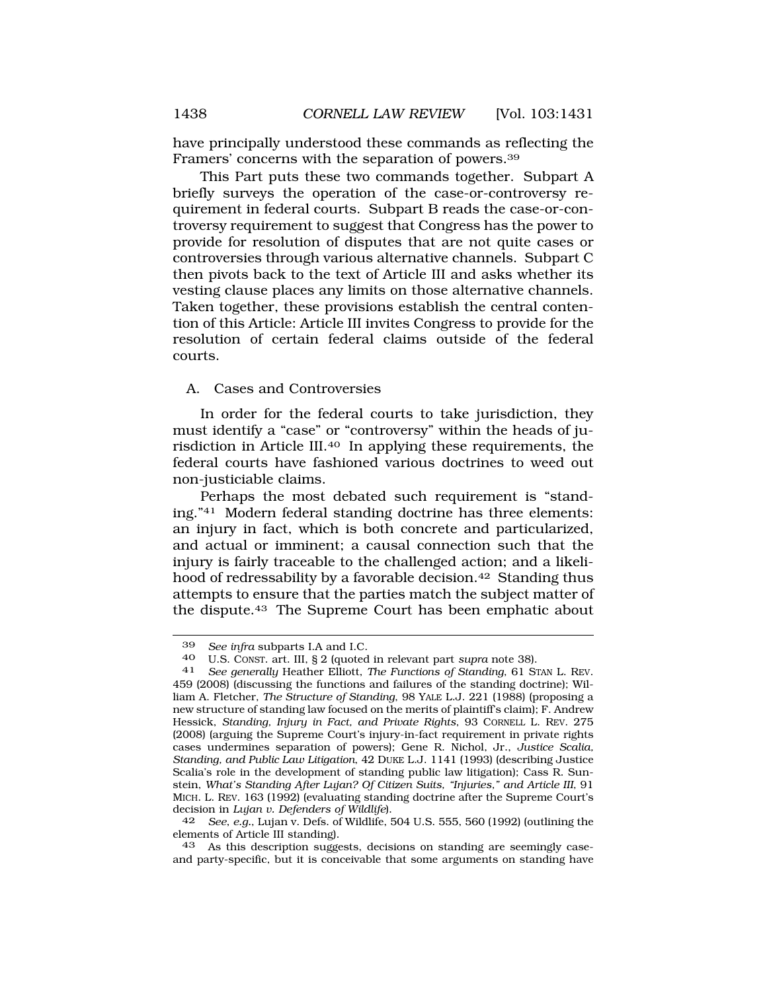have principally understood these commands as reflecting the Framers' concerns with the separation of [powers.39](https://powers.39)

This Part puts these two commands together. Subpart A briefly surveys the operation of the case-or-controversy requirement in federal courts. Subpart B reads the case-or-controversy requirement to suggest that Congress has the power to provide for resolution of disputes that are not quite cases or controversies through various alternative channels. Subpart C then pivots back to the text of Article III and asks whether its vesting clause places any limits on those alternative channels. Taken together, these provisions establish the central contention of this Article: Article III invites Congress to provide for the resolution of certain federal claims outside of the federal courts.

A. Cases and Controversies

In order for the federal courts to take jurisdiction, they must identify a "case" or "controversy" within the heads of jurisdiction in Article III.40 In applying these requirements, the federal courts have fashioned various doctrines to weed out non-justiciable claims.

Perhaps the most debated such requirement is "standing."41 Modern federal standing doctrine has three elements: an injury in fact, which is both concrete and particularized, and actual or imminent; a causal connection such that the injury is fairly traceable to the challenged action; and a likelihood of redressability by a favorable decision.<sup>42</sup> Standing thus attempts to ensure that the parties match the subject matter of the [dispute.43](https://dispute.43) The Supreme Court has been emphatic about

<sup>39</sup> *See infra* subparts I.A and I.C.

<sup>40</sup> U.S. CONST. art. III, § 2 (quoted in relevant part *supra* note 38). 41 *See generally* Heather Elliott, *The Functions of Standing*, 61 STAN L. REV.

<sup>459 (2008) (</sup>discussing the functions and failures of the standing doctrine); William A. Fletcher, *The Structure of Standing*, 98 YALE L.J. 221 (1988) (proposing a new structure of standing law focused on the merits of plaintiff's claim); F. Andrew Hessick, *Standing, Injury in Fact, and Private Rights*, 93 CORNELL L. REV. 275 (2008) (arguing the Supreme Court's injury-in-fact requirement in private rights cases undermines separation of powers); Gene R. Nichol, Jr., *Justice Scalia, Standing, and Public Law Litigation*, 42 DUKE L.J. 1141 (1993) (describing Justice Scalia's role in the development of standing public law litigation); Cass R. Sunstein, *What's Standing After Lujan? Of Citizen Suits, "Injuries," and Article III*, 91 MICH. L. REV. 163 (1992) (evaluating standing doctrine after the Supreme Court's decision in *Lujan v. Defenders of Wildlife*).

<sup>42</sup> *See*, *e.g.*, Lujan v. Defs. of Wildlife, 504 U.S. 555, 560 (1992) (outlining the elements of Article III standing).

<sup>43</sup> As this description suggests, decisions on standing are seemingly caseand party-specific, but it is conceivable that some arguments on standing have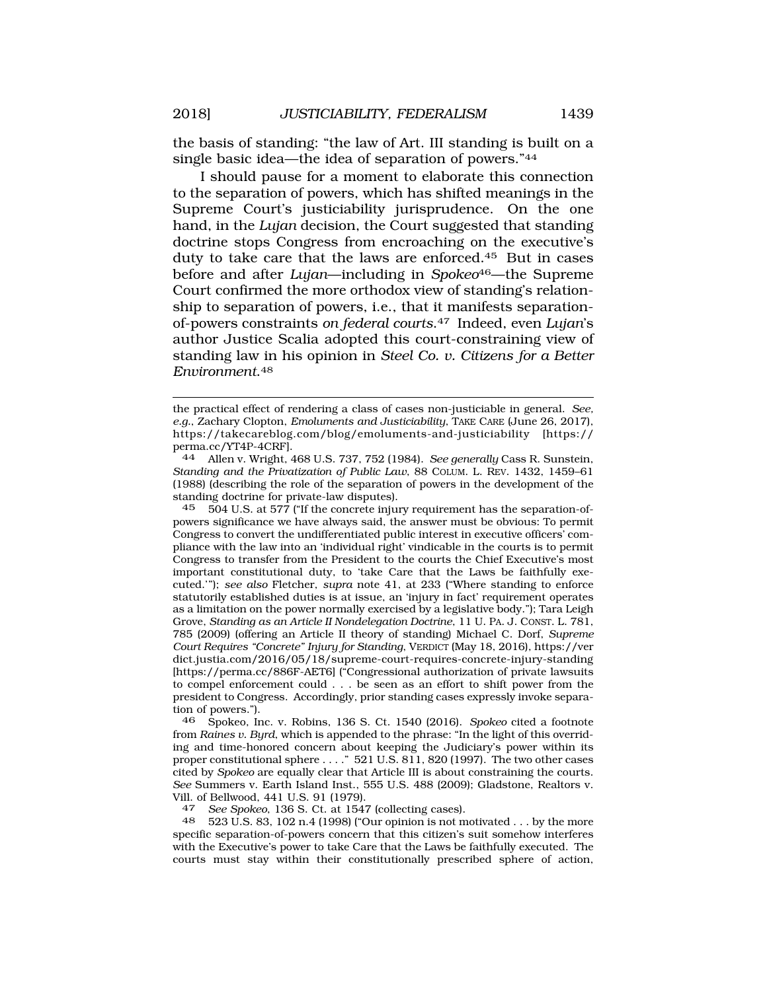the basis of standing: "the law of Art. III standing is built on a single basic idea—the idea of separation of powers."44

I should pause for a moment to elaborate this connection to the separation of powers, which has shifted meanings in the Supreme Court's justiciability jurisprudence. On the one hand, in the *Lujan* decision, the Court suggested that standing doctrine stops Congress from encroaching on the executive's duty to take care that the laws are [enforced.45](https://enforced.45) But in cases before and after *Lujan*—including in *Spokeo*46—the Supreme Court confirmed the more orthodox view of standing's relationship to separation of powers, i.e., that it manifests separationof-powers constraints *on federal [courts](https://courts.47)*.47 Indeed, even *Lujan*'s author Justice Scalia adopted this court-constraining view of standing law in his opinion in *Steel Co. v. Citizens for a Better [Environment](https://Environment.48)*.48

44 Allen v. Wright, 468 U.S. 737, 752 (1984). *See generally* Cass R. Sunstein, *Standing and the Privatization of Public Law*, 88 COLUM. L. REV. 1432, 1459–61 (1988) (describing the role of the separation of powers in the development of the standing doctrine for private-law disputes).

45 504 U.S. at 577 ("If the concrete injury requirement has the separation-ofpowers significance we have always said, the answer must be obvious: To permit Congress to convert the undifferentiated public interest in executive officers' compliance with the law into an 'individual right' vindicable in the courts is to permit Congress to transfer from the President to the courts the Chief Executive's most important constitutional duty, to 'take Care that the Laws be faithfully executed.'"); *see also* Fletcher, *supra* note 41, at 233 ("Where standing to enforce statutorily established duties is at issue, an 'injury in fact' requirement operates as a limitation on the power normally exercised by a legislative body."); Tara Leigh Grove, *Standing as an Article II Nondelegation Doctrine*, 11 U. PA. J. CONST. L. 781, 785 (2009) (offering an Article II theory of standing) Michael C. Dorf, *Supreme Court Requires "Concrete" Injury for Standing*, VERDICT (May 18, 2016),<https://ver> [dict.justia.com/2016/05/18/supreme-court-requires-concrete-injury-standing](https://dict.justia.com/2016/05/18/supreme-court-requires-concrete-injury-standing)  [<https://perma.cc/886F-AET6>] ("Congressional authorization of private lawsuits to compel enforcement could . . . be seen as an effort to shift power from the president to Congress. Accordingly, prior standing cases expressly invoke separation of powers.").

46 Spokeo, Inc. v. Robins, 136 S. Ct. 1540 (2016). *Spokeo* cited a footnote from *Raines v. Byrd*, which is appended to the phrase: "In the light of this overriding and time-honored concern about keeping the Judiciary's power within its proper constitutional sphere . . . ." 521 U.S. 811, 820 (1997). The two other cases cited by *Spokeo* are equally clear that Article III is about constraining the courts. *See* Summers v. Earth Island Inst., 555 U.S. 488 (2009); Gladstone, Realtors v. Vill. of Bellwood, 441 U.S. 91 (1979).

47 *See Spokeo*, 136 S. Ct. at 1547 (collecting cases).

523 U.S. 83, 102 n.4 (1998) ("Our opinion is not motivated . . . by the more specific separation-of-powers concern that this citizen's suit somehow interferes with the Executive's power to take Care that the Laws be faithfully executed. The courts must stay within their constitutionally prescribed sphere of action,

the practical effect of rendering a class of cases non-justiciable in general. *See, e.g.*, Zachary Clopton, *Emoluments and Justiciability*, TAKE CARE (June 26, 2017), <https://takecareblog.com/blog/emoluments-and-justiciability> [https:// perma.cc/YT4P-4CRF].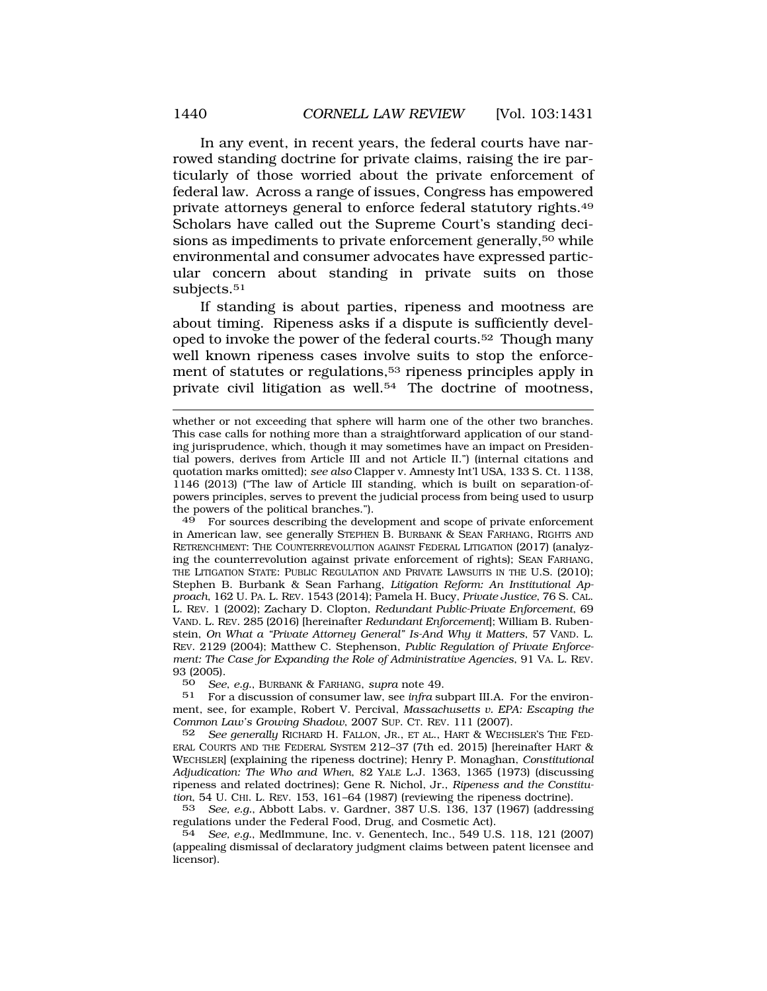In any event, in recent years, the federal courts have narrowed standing doctrine for private claims, raising the ire particularly of those worried about the private enforcement of federal law. Across a range of issues, Congress has empowered private attorneys general to enforce federal statutory [rights.49](https://rights.49)  Scholars have called out the Supreme Court's standing decisions as impediments to private enforcement generally,<sup>50</sup> while environmental and consumer advocates have expressed particular concern about standing in private suits on those subjects.<sup>51</sup>

If standing is about parties, ripeness and mootness are about timing. Ripeness asks if a dispute is sufficiently developed to invoke the power of the federal [courts.52](https://courts.52) Though many well known ripeness cases involve suits to stop the enforcement of statutes or regulations,<sup>53</sup> ripeness principles apply in private civil litigation as well.<sup>54</sup> The doctrine of mootness,

49 For sources describing the development and scope of private enforcement in American law, see generally STEPHEN B. BURBANK & SEAN FARHANG, RIGHTS AND RETRENCHMENT: THE COUNTERREVOLUTION AGAINST FEDERAL LITIGATION (2017) (analyzing the counterrevolution against private enforcement of rights); SEAN FARHANG, THE LITIGATION STATE: PUBLIC REGULATION AND PRIVATE LAWSUITS IN THE U.S. (2010); Stephen B. Burbank & Sean Farhang, *Litigation Reform: An Institutional Approach*, 162 U. PA. L. REV. 1543 (2014); Pamela H. Bucy, *Private Justice*, 76 S. CAL. L. REV. 1 (2002); Zachary D. Clopton, *Redundant Public-Private Enforcement*, 69 VAND. L. REV. 285 (2016) [hereinafter *Redundant Enforcement*]; William B. Rubenstein, *On What a "Private Attorney General" Is-And Why it Matters*, 57 VAND. L. REV. 2129 (2004); Matthew C. Stephenson, *Public Regulation of Private Enforcement: The Case for Expanding the Role of Administrative Agencies*, 91 VA. L. REV. 93 (2005).

50 *See*, *e.g.*, BURBANK & FARHANG, *supra* note 49.

51 For a discussion of consumer law, see *infra* subpart III.A. For the environment, see, for example, Robert V. Percival, *Massachusetts v. EPA: Escaping the Common Law's Growing Shadow*, 2007 SUP. CT. REV. 111 (2007).

52 *See generally* RICHARD H. FALLON, JR., ET AL., HART & WECHSLER'S THE FED-ERAL COURTS AND THE FEDERAL SYSTEM 212–37 (7th ed. 2015) [hereinafter HART & WECHSLER] (explaining the ripeness doctrine); Henry P. Monaghan, *Constitutional Adjudication: The Who and When*, 82 YALE L.J. 1363, 1365 (1973) (discussing ripeness and related doctrines); Gene R. Nichol, Jr., *Ripeness and the Constitution*, 54 U. CHI. L. REV. 153, 161–64 (1987) (reviewing the ripeness doctrine).

53 *See, e.g.*, Abbott Labs. v. Gardner, 387 U.S. 136, 137 (1967) (addressing regulations under the Federal Food, Drug, and Cosmetic Act).

54 *See, e.g.*, MedImmune, Inc. v. Genentech, Inc., 549 U.S. 118, 121 (2007) (appealing dismissal of declaratory judgment claims between patent licensee and licensor).

whether or not exceeding that sphere will harm one of the other two branches. This case calls for nothing more than a straightforward application of our standing jurisprudence, which, though it may sometimes have an impact on Presidential powers, derives from Article III and not Article II.") (internal citations and quotation marks omitted); *see also* Clapper v. Amnesty Int'l USA, 133 S. Ct. 1138, 1146 (2013) ("The law of Article III standing, which is built on separation-ofpowers principles, serves to prevent the judicial process from being used to usurp the powers of the political branches.").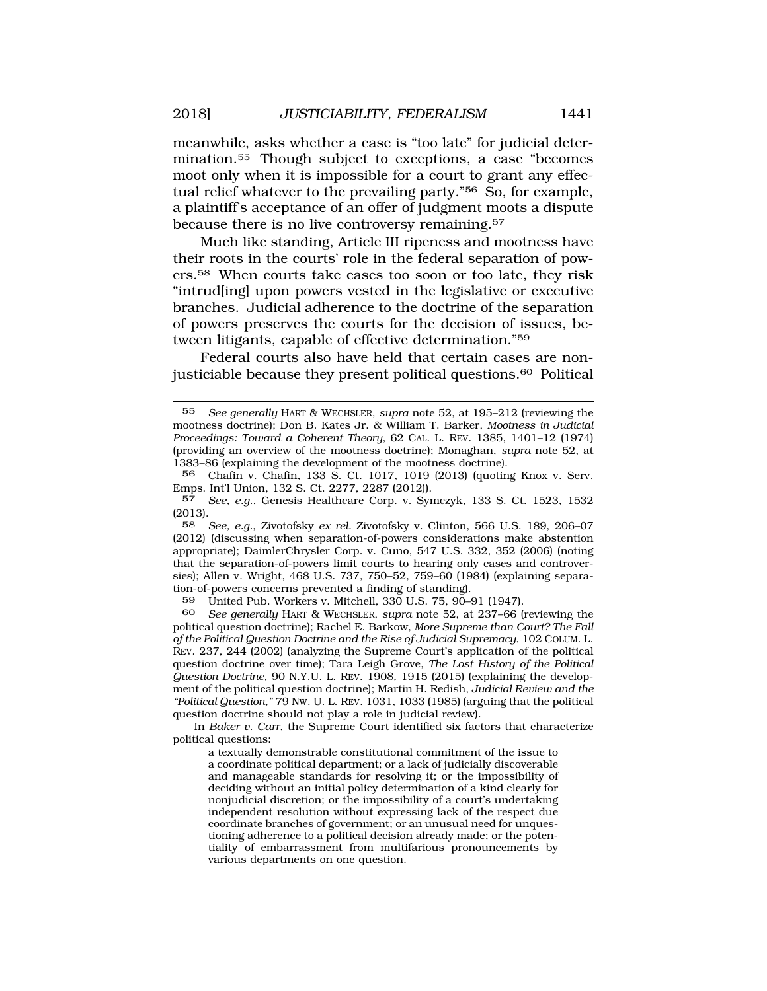meanwhile, asks whether a case is "too late" for judicial deter[mination.55](https://mination.55) Though subject to exceptions, a case "becomes moot only when it is impossible for a court to grant any effectual relief whatever to the prevailing party."56 So, for example, a plaintiff's acceptance of an offer of judgment moots a dispute because there is no live controversy [remaining.57](https://remaining.57) 

Much like standing, Article III ripeness and mootness have their roots in the courts' role in the federal separation of powers.58 When courts take cases too soon or too late, they risk "intrud[ing] upon powers vested in the legislative or executive branches. Judicial adherence to the doctrine of the separation of powers preserves the courts for the decision of issues, between litigants, capable of effective determination."59

Federal courts also have held that certain cases are nonjusticiable because they present political [questions.60](https://questions.60) Political

59 United Pub. Workers v. Mitchell, 330 U.S. 75, 90–91 (1947).

60 *See generally* HART & WECHSLER, *supra* note 52, at 237–66 (reviewing the political question doctrine); Rachel E. Barkow, *More Supreme than Court? The Fall of the Political Question Doctrine and the Rise of Judicial Supremacy*, 102 COLUM. L. REV. 237, 244 (2002) (analyzing the Supreme Court's application of the political question doctrine over time); Tara Leigh Grove, *The Lost History of the Political Question Doctrine*, 90 N.Y.U. L. REV. 1908, 1915 (2015) (explaining the development of the political question doctrine); Martin H. Redish, *Judicial Review and the "Political Question,"* 79 NW. U. L. REV. 1031, 1033 (1985) (arguing that the political question doctrine should not play a role in judicial review).

In *Baker v. Carr*, the Supreme Court identified six factors that characterize political questions:

a textually demonstrable constitutional commitment of the issue to a coordinate political department; or a lack of judicially discoverable and manageable standards for resolving it; or the impossibility of deciding without an initial policy determination of a kind clearly for nonjudicial discretion; or the impossibility of a court's undertaking independent resolution without expressing lack of the respect due coordinate branches of government; or an unusual need for unquestioning adherence to a political decision already made; or the potentiality of embarrassment from multifarious pronouncements by various departments on one question.

<sup>55</sup> *See generally* HART & WECHSLER, *supra* note 52, at 195–212 (reviewing the mootness doctrine); Don B. Kates Jr. & William T. Barker, *Mootness in Judicial Proceedings: Toward a Coherent Theory*, 62 CAL. L. REV. 1385, 1401–12 (1974) (providing an overview of the mootness doctrine); Monaghan, *supra* note 52, at 1383–86 (explaining the development of the mootness doctrine).

<sup>56</sup> Chafin v. Chafin, 133 S. Ct. 1017, 1019 (2013) (quoting Knox v. Serv. Emps. Int'l Union, 132 S. Ct. 2277, 2287 (2012)).

<sup>57</sup> *See, e.g.*, Genesis Healthcare Corp. v. Symczyk, 133 S. Ct. 1523, 1532 (2013).

<sup>58</sup> *See, e.g.*, Zivotofsky *ex rel.* Zivotofsky v. Clinton, 566 U.S. 189, 206–07 (2012) (discussing when separation-of-powers considerations make abstention appropriate); DaimlerChrysler Corp. v. Cuno, 547 U.S. 332, 352 (2006) (noting that the separation-of-powers limit courts to hearing only cases and controversies); Allen v. Wright, 468 U.S. 737, 750–52, 759–60 (1984) (explaining separation-of-powers concerns prevented a finding of standing).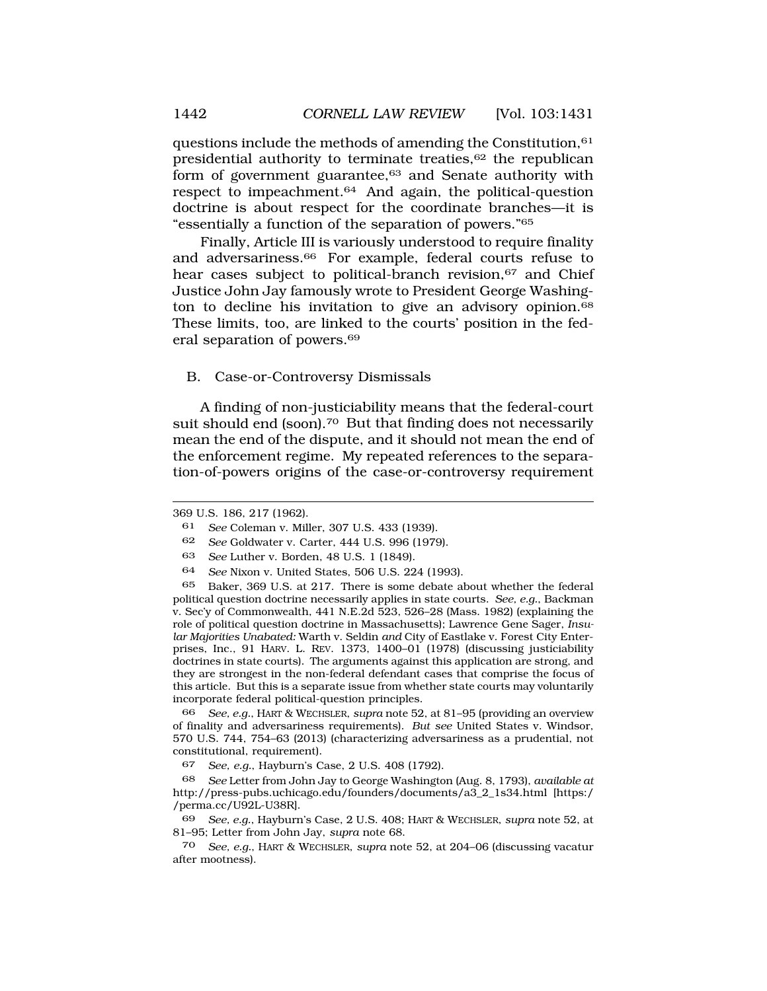questions include the methods of amending the Constitution,61 presidential authority to terminate treaties,<sup>62</sup> the republican form of government guarantee,<sup>63</sup> and Senate authority with respect to [impeachment.64](https://impeachment.64) And again, the political-question doctrine is about respect for the coordinate branches—it is "essentially a function of the separation of powers."65

Finally, Article III is variously understood to require finality and [adversariness.66](https://adversariness.66) For example, federal courts refuse to hear cases subject to political-branch revision,<sup>67</sup> and Chief Justice John Jay famously wrote to President George Washington to decline his invitation to give an advisory opinion.<sup>68</sup> These limits, too, are linked to the courts' position in the federal separation of [powers.69](https://powers.69) 

B. Case-or-Controversy Dismissals

A finding of non-justiciability means that the federal-court suit should end (soon).<sup>70</sup> But that finding does not necessarily mean the end of the dispute, and it should not mean the end of the enforcement regime. My repeated references to the separation-of-powers origins of the case-or-controversy requirement

66 *See, e.g.*, HART & WECHSLER, *supra* note 52, at 81–95 (providing an overview of finality and adversariness requirements). *But see* United States v. Windsor, 570 U.S. 744, 754–63 (2013) (characterizing adversariness as a prudential, not constitutional, requirement).

67 *See, e.g.*, Hayburn's Case, 2 U.S. 408 (1792).

68 *See* Letter from John Jay to George Washington (Aug. 8, 1793), *available at*  [http://press-pubs.uchicago.edu/founders/documents/a3\\_2\\_1s34.html](http://press-pubs.uchicago.edu/founders/documents/a3_2_1s34.html) [https:/ /perma.cc/U92L-U38R].

69 *See, e.g.*, Hayburn's Case, 2 U.S. 408; HART & WECHSLER, *supra* note 52, at 81–95; Letter from John Jay, *supra* note 68.

70 *See, e.g.*, HART & WECHSLER, *supra* note 52, at 204–06 (discussing vacatur after mootness).

<sup>369</sup> U.S. 186, 217 (1962).

<sup>61</sup> *See* Coleman v. Miller, 307 U.S. 433 (1939).

<sup>62</sup> *See* Goldwater v. Carter, 444 U.S. 996 (1979).

<sup>63</sup> *See* Luther v. Borden, 48 U.S. 1 (1849).

<sup>64</sup> *See* Nixon v. United States, 506 U.S. 224 (1993).

<sup>65</sup> Baker, 369 U.S. at 217. There is some debate about whether the federal political question doctrine necessarily applies in state courts. *See, e.g.*, Backman v. Sec'y of Commonwealth, 441 N.E.2d 523, 526–28 (Mass. 1982) (explaining the role of political question doctrine in Massachusetts); Lawrence Gene Sager, *Insular Majorities Unabated:* Warth v. Seldin *and* City of Eastlake v. Forest City Enterprises, Inc., 91 HARV. L. REV. 1373, 1400–01 (1978) (discussing justiciability doctrines in state courts). The arguments against this application are strong, and they are strongest in the non-federal defendant cases that comprise the focus of this article. But this is a separate issue from whether state courts may voluntarily incorporate federal political-question principles.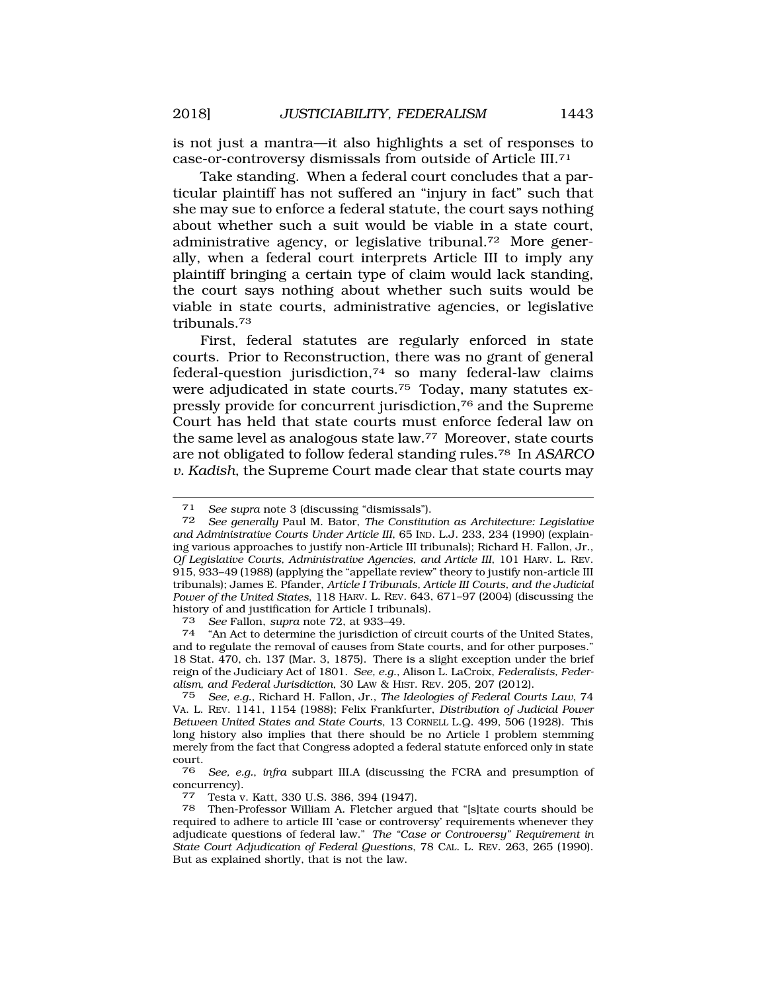is not just a mantra—it also highlights a set of responses to case-or-controversy dismissals from outside of Article III.71

Take standing. When a federal court concludes that a particular plaintiff has not suffered an "injury in fact" such that she may sue to enforce a federal statute, the court says nothing about whether such a suit would be viable in a state court, administrative agency, or legislative [tribunal.72](https://tribunal.72) More generally, when a federal court interprets Article III to imply any plaintiff bringing a certain type of claim would lack standing, the court says nothing about whether such suits would be viable in state courts, administrative agencies, or legislative [tribunals.73](https://tribunals.73) 

First, federal statutes are regularly enforced in state courts. Prior to Reconstruction, there was no grant of general federal-question jurisdiction, $74$  so many federal-law claims were adjudicated in state [courts.75](https://courts.75) Today, many statutes expressly provide for concurrent jurisdiction,76 and the Supreme Court has held that state courts must enforce federal law on the same level as analogous state law.77 Moreover, state courts are not obligated to follow federal standing [rules.78](https://rules.78) In *ASARCO v. Kadish*, the Supreme Court made clear that state courts may

<sup>73</sup>*See* Fallon, *supra* note 72, at 933–49. 74 "An Act to determine the jurisdiction of circuit courts of the United States, and to regulate the removal of causes from State courts, and for other purposes." 18 Stat. 470, ch. 137 (Mar. 3, 1875). There is a slight exception under the brief reign of the Judiciary Act of 1801. *See, e.g.*, Alison L. LaCroix, *Federalists, Federalism, and Federal Jurisdiction*, 30 LAW & HIST. REV. 205, 207 (2012).

75 *See, e.g.*, Richard H. Fallon, Jr., *The Ideologies of Federal Courts Law*, 74 VA. L. REV. 1141, 1154 (1988); Felix Frankfurter, *Distribution of Judicial Power Between United States and State Courts*, 13 CORNELL L.Q. 499, 506 (1928). This long history also implies that there should be no Article I problem stemming merely from the fact that Congress adopted a federal statute enforced only in state court.

76 *See, e.g.*, *infra* subpart III.A (discussing the FCRA and presumption of concurrency).

77 Testa v. Katt, 330 U.S. 386, 394 (1947).

78 Then-Professor William A. Fletcher argued that "[s]tate courts should be required to adhere to article III 'case or controversy' requirements whenever they adjudicate questions of federal law." *The "Case or Controversy" Requirement in State Court Adjudication of Federal Questions*, 78 CAL. L. REV. 263, 265 (1990). But as explained shortly, that is not the law.

<sup>71</sup> *See supra* note 3 (discussing "dismissals").

<sup>72</sup> *See generally* Paul M. Bator, *The Constitution as Architecture: Legislative and Administrative Courts Under Article III*, 65 IND. L.J. 233, 234 (1990) (explaining various approaches to justify non-Article III tribunals); Richard H. Fallon, Jr., *Of Legislative Courts, Administrative Agencies, and Article III*, 101 HARV. L. REV. 915, 933–49 (1988) (applying the "appellate review" theory to justify non-article III tribunals); James E. Pfander, *Article I Tribunals, Article III Courts, and the Judicial Power of the United States*, 118 HARV. L. REV. 643, 671–97 (2004) (discussing the history of and justification for Article I tribunals).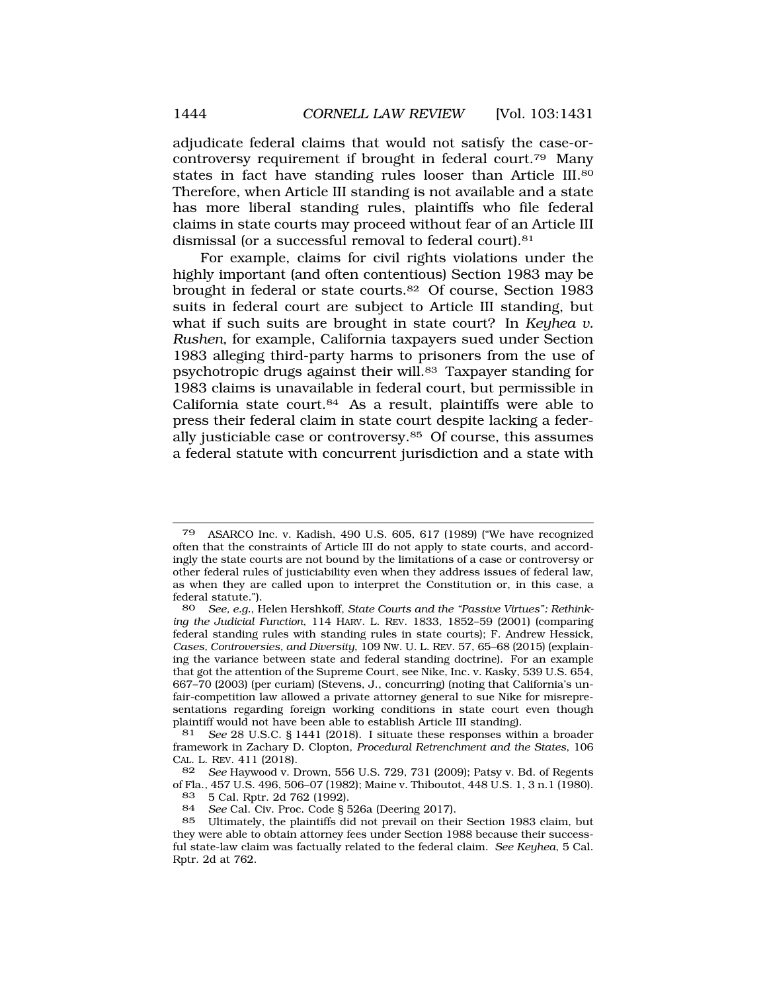adjudicate federal claims that would not satisfy the case-orcontroversy requirement if brought in federal [court.79](https://court.79) Many states in fact have standing rules looser than Article III.<sup>80</sup> Therefore, when Article III standing is not available and a state has more liberal standing rules, plaintiffs who file federal claims in state courts may proceed without fear of an Article III dismissal (or a successful removal to federal court).<sup>81</sup>

For example, claims for civil rights violations under the highly important (and often contentious) Section 1983 may be brought in federal or state [courts.82](https://courts.82) Of course, Section 1983 suits in federal court are subject to Article III standing, but what if such suits are brought in state court? In *Keyhea v. Rushen*, for example, California taxpayers sued under Section 1983 alleging third-party harms to prisoners from the use of psychotropic drugs against their will.83 Taxpayer standing for 1983 claims is unavailable in federal court, but permissible in California state [court.84](https://court.84) As a result, plaintiffs were able to press their federal claim in state court despite lacking a federally justiciable case or [controversy.85](https://controversy.85) Of course, this assumes a federal statute with concurrent jurisdiction and a state with

<sup>79</sup> ASARCO Inc. v. Kadish, 490 U.S. 605, 617 (1989) ("We have recognized often that the constraints of Article III do not apply to state courts, and accordingly the state courts are not bound by the limitations of a case or controversy or other federal rules of justiciability even when they address issues of federal law, as when they are called upon to interpret the Constitution or, in this case, a federal statute.").

<sup>80</sup> *See, e.g.*, Helen Hershkoff, *State Courts and the "Passive Virtues": Rethinking the Judicial Function*, 114 HARV. L. REV. 1833, 1852–59 (2001) (comparing federal standing rules with standing rules in state courts); F. Andrew Hessick, *Cases, Controversies, and Diversity*, 109 NW. U. L. REV. 57, 65–68 (2015) (explaining the variance between state and federal standing doctrine). For an example that got the attention of the Supreme Court, see Nike, Inc. v. Kasky, 539 U.S. 654, 667–70 (2003) (per curiam) (Stevens, J., concurring) (noting that California's unfair-competition law allowed a private attorney general to sue Nike for misrepresentations regarding foreign working conditions in state court even though plaintiff would not have been able to establish Article III standing).

<sup>81</sup> *See* 28 U.S.C. § 1441 (2018). I situate these responses within a broader framework in Zachary D. Clopton, *Procedural Retrenchment and the States*, 106 CAL. L. REV. 411 (2018).

<sup>82</sup> *See* Haywood v. Drown, 556 U.S. 729, 731 (2009); Patsy v. Bd. of Regents of Fla., 457 U.S. 496, 506–07 (1982); Maine v. Thiboutot, 448 U.S. 1, 3 n.1 (1980).

<sup>83 5</sup> Cal. Rptr. 2d 762 (1992).

<sup>84</sup> *See* Cal. Civ. Proc. Code § 526a (Deering 2017).

<sup>85</sup> Ultimately, the plaintiffs did not prevail on their Section 1983 claim, but they were able to obtain attorney fees under Section 1988 because their successful state-law claim was factually related to the federal claim. *See Keyhea*, 5 Cal. Rptr. 2d at 762.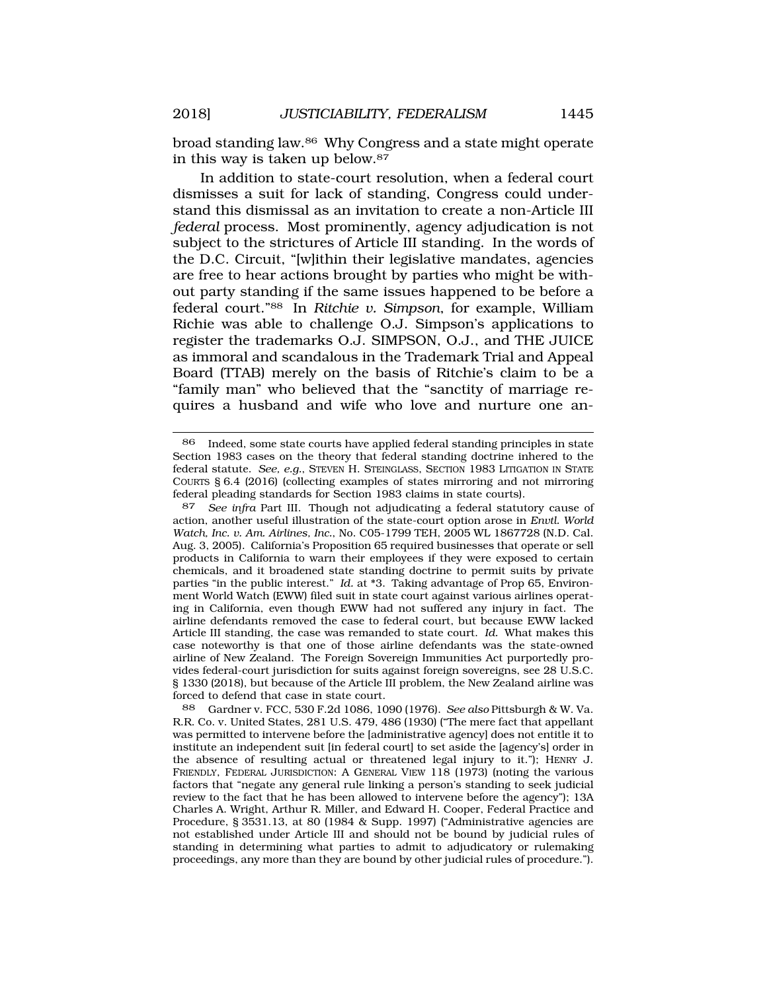broad standing law.86 Why Congress and a state might operate in this way is taken up [below.87](https://below.87) 

In addition to state-court resolution, when a federal court dismisses a suit for lack of standing, Congress could understand this dismissal as an invitation to create a non-Article III *federal* process. Most prominently, agency adjudication is not subject to the strictures of Article III standing. In the words of the D.C. Circuit, "[w]ithin their legislative mandates, agencies are free to hear actions brought by parties who might be without party standing if the same issues happened to be before a federal court."88 In *Ritchie v. Simpson*, for example, William Richie was able to challenge O.J. Simpson's applications to register the trademarks O.J. SIMPSON, O.J., and THE JUICE as immoral and scandalous in the Trademark Trial and Appeal Board (TTAB) merely on the basis of Ritchie's claim to be a "family man" who believed that the "sanctity of marriage requires a husband and wife who love and nurture one an-

<sup>86</sup> Indeed, some state courts have applied federal standing principles in state Section 1983 cases on the theory that federal standing doctrine inhered to the federal statute. *See, e.g.*, STEVEN H. STEINGLASS, SECTION 1983 LITIGATION IN STATE COURTS § 6.4 (2016) (collecting examples of states mirroring and not mirroring federal pleading standards for Section 1983 claims in state courts).

<sup>87</sup> *See infra* Part III. Though not adjudicating a federal statutory cause of action, another useful illustration of the state-court option arose in *Envtl. World Watch, Inc. v. Am. Airlines, Inc.*, No. C05-1799 TEH, 2005 WL 1867728 (N.D. Cal. Aug. 3, 2005). California's Proposition 65 required businesses that operate or sell products in California to warn their employees if they were exposed to certain chemicals, and it broadened state standing doctrine to permit suits by private parties "in the public interest." *Id.* at \*3. Taking advantage of Prop 65, Environment World Watch (EWW) filed suit in state court against various airlines operating in California, even though EWW had not suffered any injury in fact. The airline defendants removed the case to federal court, but because EWW lacked Article III standing, the case was remanded to state court. *Id.* What makes this case noteworthy is that one of those airline defendants was the state-owned airline of New Zealand. The Foreign Sovereign Immunities Act purportedly provides federal-court jurisdiction for suits against foreign sovereigns, see 28 U.S.C. § 1330 (2018), but because of the Article III problem, the New Zealand airline was forced to defend that case in state court.

<sup>88</sup> Gardner v. FCC, 530 F.2d 1086, 1090 (1976). *See also* Pittsburgh & W. Va. R.R. Co. v. United States, 281 U.S. 479, 486 (1930) ("The mere fact that appellant was permitted to intervene before the [administrative agency] does not entitle it to institute an independent suit [in federal court] to set aside the [agency's] order in the absence of resulting actual or threatened legal injury to it."); HENRY J. FRIENDLY, FEDERAL JURISDICTION: A GENERAL VIEW 118 (1973) (noting the various factors that "negate any general rule linking a person's standing to seek judicial review to the fact that he has been allowed to intervene before the agency"); 13A Charles A. Wright, Arthur R. Miller, and Edward H. Cooper, Federal Practice and Procedure, § 3531.13, at 80 (1984 & Supp. 1997) ("Administrative agencies are not established under Article III and should not be bound by judicial rules of standing in determining what parties to admit to adjudicatory or rulemaking proceedings, any more than they are bound by other judicial rules of procedure.").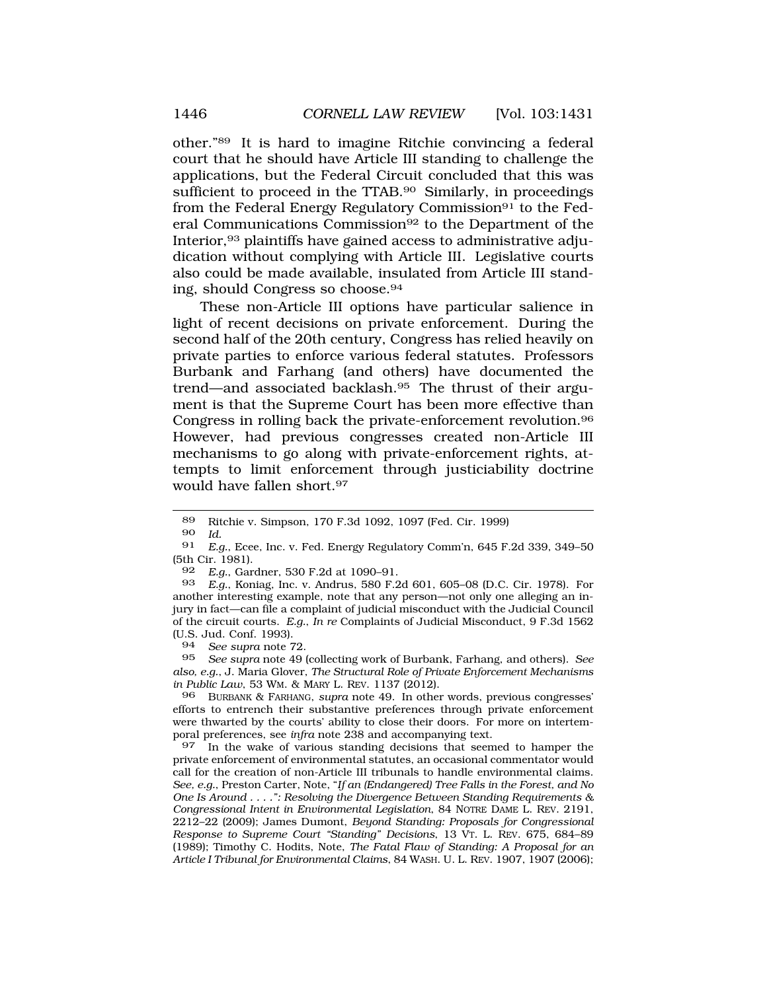other."89 It is hard to imagine Ritchie convincing a federal court that he should have Article III standing to challenge the applications, but the Federal Circuit concluded that this was sufficient to proceed in the TTAB.<sup>90</sup> Similarly, in proceedings from the Federal Energy Regulatory Commission<sup>91</sup> to the Federal Communications Commission92 to the Department of the Interior,93 plaintiffs have gained access to administrative adjudication without complying with Article III. Legislative courts also could be made available, insulated from Article III standing, should Congress so [choose.94](https://choose.94) 

These non-Article III options have particular salience in light of recent decisions on private enforcement. During the second half of the 20th century, Congress has relied heavily on private parties to enforce various federal statutes. Professors Burbank and Farhang (and others) have documented the trend—and associated [backlash.95](https://backlash.95) The thrust of their argument is that the Supreme Court has been more effective than Congress in rolling back the private-enforcement [revolution.96](https://revolution.96)  However, had previous congresses created non-Article III mechanisms to go along with private-enforcement rights, attempts to limit enforcement through justiciability doctrine would have fallen short.<sup>97</sup>

90 *Id.* 

92 *E.g.*, Gardner, 530 F.2d at 1090–91.

93 *E.g.*, Koniag, Inc. v. Andrus, 580 F.2d 601, 605–08 (D.C. Cir. 1978). For another interesting example, note that any person—not only one alleging an injury in fact—can file a complaint of judicial misconduct with the Judicial Council of the circuit courts. *E.g.*, *In re* Complaints of Judicial Misconduct, 9 F.3d 1562 (U.S. Jud. Conf. 1993).

94 *See supra* note 72.

95 *See supra* note 49 (collecting work of Burbank, Farhang, and others). *See also, e.g.*, J. Maria Glover, *The Structural Role of Private Enforcement Mechanisms in Public Law*, 53 WM. & MARY L. REV. 1137 (2012).

96 BURBANK & FARHANG, *supra* note 49. In other words, previous congresses' efforts to entrench their substantive preferences through private enforcement were thwarted by the courts' ability to close their doors. For more on intertemporal preferences, see *infra* note 238 and accompanying text.

97 In the wake of various standing decisions that seemed to hamper the private enforcement of environmental statutes, an occasional commentator would call for the creation of non-Article III tribunals to handle environmental claims. *See, e.g.*, Preston Carter, Note, "*If an (Endangered) Tree Falls in the Forest, and No One Is Around . . . .": Resolving the Divergence Between Standing Requirements & Congressional Intent in Environmental Legislation*, 84 NOTRE DAME L. REV. 2191, 2212–22 (2009); James Dumont, *Beyond Standing: Proposals for Congressional Response to Supreme Court "Standing" Decisions*, 13 VT. L. REV. 675, 684–89 (1989); Timothy C. Hodits, Note, *The Fatal Flaw of Standing: A Proposal for an Article I Tribunal for Environmental Claims*, 84 WASH. U. L. REV. 1907, 1907 (2006);

<sup>89</sup> Ritchie v. Simpson, 170 F.3d 1092, 1097 (Fed. Cir. 1999)

<sup>91</sup> *E.g.*, Ecee, Inc. v. Fed. Energy Regulatory Comm'n, 645 F.2d 339, 349–50 (5th Cir. 1981).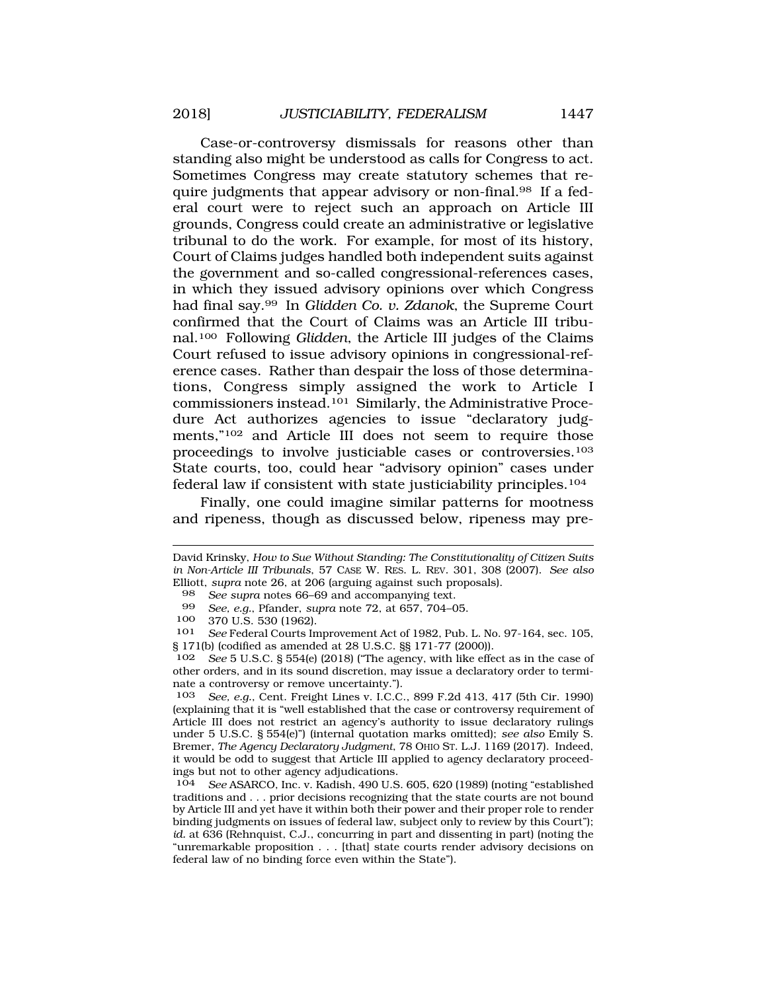Case-or-controversy dismissals for reasons other than standing also might be understood as calls for Congress to act. Sometimes Congress may create statutory schemes that require judgments that appear advisory or [non-final.98](https://non-final.98) If a federal court were to reject such an approach on Article III grounds, Congress could create an administrative or legislative tribunal to do the work. For example, for most of its history, Court of Claims judges handled both independent suits against the government and so-called congressional-references cases, in which they issued advisory opinions over which Congress had final say.99 In *Glidden Co. v. Zdanok*, the Supreme Court confirmed that the Court of Claims was an Article III tribunal.100 Following *Glidden*, the Article III judges of the Claims Court refused to issue advisory opinions in congressional-reference cases. Rather than despair the loss of those determinations, Congress simply assigned the work to Article I commissioners instead.101 Similarly, the Administrative Procedure Act authorizes agencies to issue "declaratory judgments,"102 and Article III does not seem to require those proceedings to involve justiciable cases or controversies.103 State courts, too, could hear "advisory opinion" cases under federal law if consistent with state justiciability principles.104

Finally, one could imagine similar patterns for mootness and ripeness, though as discussed below, ripeness may pre-

David Krinsky, *How to Sue Without Standing: The Constitutionality of Citizen Suits in Non-Article III Tribunals*, 57 CASE W. RES. L. REV. 301, 308 (2007). *See also*  Elliott, *supra* note 26, at 206 (arguing against such proposals).<br><sup>98</sup> See supra notes 66–69 and accompanying text.

<sup>98</sup> *See supra* notes 66–69 and accompanying text.

<sup>99</sup> *See, e.g.*, Pfander, *supra* note 72, at 657, 704–05.

<sup>100 370</sup> U.S. 530 (1962).<br>101 See Federal Courts In

See Federal Courts Improvement Act of 1982, Pub. L. No. 97-164, sec. 105, § 171(b) (codified as amended at 28 U.S.C. §§ 171-77 (2000)).<br>102 See 5 U.S.C. § 554(e) (2018) ("The agency with like effe

See 5 U.S.C. § 554(e) (2018) ("The agency, with like effect as in the case of other orders, and in its sound discretion, may issue a declaratory order to terminate a controversy or remove uncertainty.").

<sup>103</sup> *See, e.g.*, Cent. Freight Lines v. I.C.C., 899 F.2d 413, 417 (5th Cir. 1990) (explaining that it is "well established that the case or controversy requirement of Article III does not restrict an agency's authority to issue declaratory rulings under 5 U.S.C. § 554(e)") (internal quotation marks omitted); *see also* Emily S. Bremer, *The Agency Declaratory Judgment*, 78 OHIO ST. L.J. 1169 (2017). Indeed, it would be odd to suggest that Article III applied to agency declaratory proceedings but not to other agency adjudications.<br>104 See ASARCO, Inc. v. Kadish, 490 U.S.

<sup>104</sup> *See* ASARCO, Inc. v. Kadish, 490 U.S. 605, 620 (1989) (noting "established traditions and . . . prior decisions recognizing that the state courts are not bound by Article III and yet have it within both their power and their proper role to render binding judgments on issues of federal law, subject only to review by this Court"); *id.* at 636 (Rehnquist, C.J., concurring in part and dissenting in part) (noting the "unremarkable proposition . . . [that] state courts render advisory decisions on federal law of no binding force even within the State").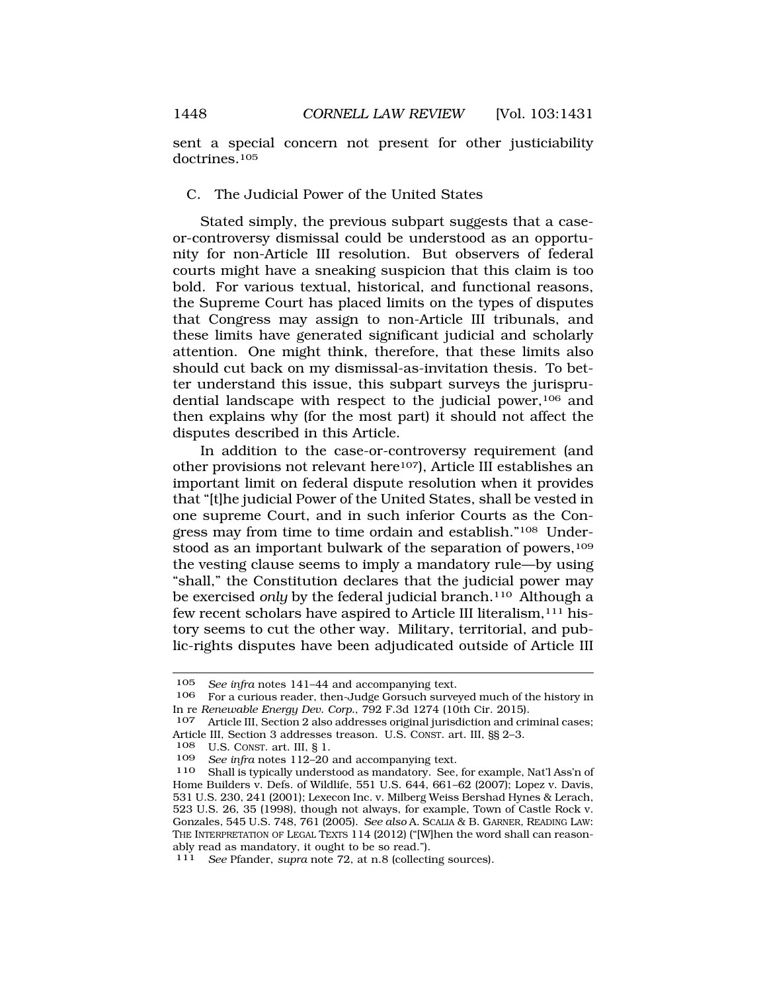sent a special concern not present for other justiciability doctrines.105

## C. The Judicial Power of the United States

Stated simply, the previous subpart suggests that a caseor-controversy dismissal could be understood as an opportunity for non-Article III resolution. But observers of federal courts might have a sneaking suspicion that this claim is too bold. For various textual, historical, and functional reasons, the Supreme Court has placed limits on the types of disputes that Congress may assign to non-Article III tribunals, and these limits have generated significant judicial and scholarly attention. One might think, therefore, that these limits also should cut back on my dismissal-as-invitation thesis. To better understand this issue, this subpart surveys the jurisprudential landscape with respect to the judicial power,106 and then explains why (for the most part) it should not affect the disputes described in this Article.

In addition to the case-or-controversy requirement (and other provisions not relevant here107), Article III establishes an important limit on federal dispute resolution when it provides that "[t]he judicial Power of the United States, shall be vested in one supreme Court, and in such inferior Courts as the Congress may from time to time ordain and establish."108 Understood as an important bulwark of the separation of powers,<sup>109</sup> the vesting clause seems to imply a mandatory rule—by using "shall," the Constitution declares that the judicial power may be exercised *only* by the federal judicial branch.110 Although a few recent scholars have aspired to Article III literalism,111 history seems to cut the other way. Military, territorial, and public-rights disputes have been adjudicated outside of Article III

U.S. CONST. art. III, § 1.

<sup>105</sup> *See infra* notes 141–44 and accompanying text.<br>106 For a curious reader then-Judge Gorsuch surve

<sup>106</sup> For a curious reader, then-Judge Gorsuch surveyed much of the history in In re *Renewable Energy Dev. Corp.*, 792 F.3d 1274 (10th Cir. 2015).

<sup>107</sup> Article III, Section 2 also addresses original jurisdiction and criminal cases; Article III, Section 3 addresses treason. U.S. CONST. art. III, §§ 2-3.<br>108 II S. CONST. art. III, § 1

<sup>109</sup> *See infra* notes 112–20 and accompanying text.

<sup>110</sup> Shall is typically understood as mandatory. See, for example, Nat'l Ass'n of Home Builders v. Defs. of Wildlife, 551 U.S. 644, 661–62 (2007); Lopez v. Davis, 531 U.S. 230, 241 (2001); Lexecon Inc. v. Milberg Weiss Bershad Hynes & Lerach, 523 U.S. 26, 35 (1998), though not always, for example, Town of Castle Rock v. Gonzales, 545 U.S. 748, 761 (2005). *See also* A. SCALIA & B. GARNER, READING LAW: THE INTERPRETATION OF LEGAL TEXTS 114 (2012) ("[W]hen the word shall can reasonably read as mandatory, it ought to be so read.").

<sup>111</sup> *See* Pfander, *supra* note 72, at n.8 (collecting sources).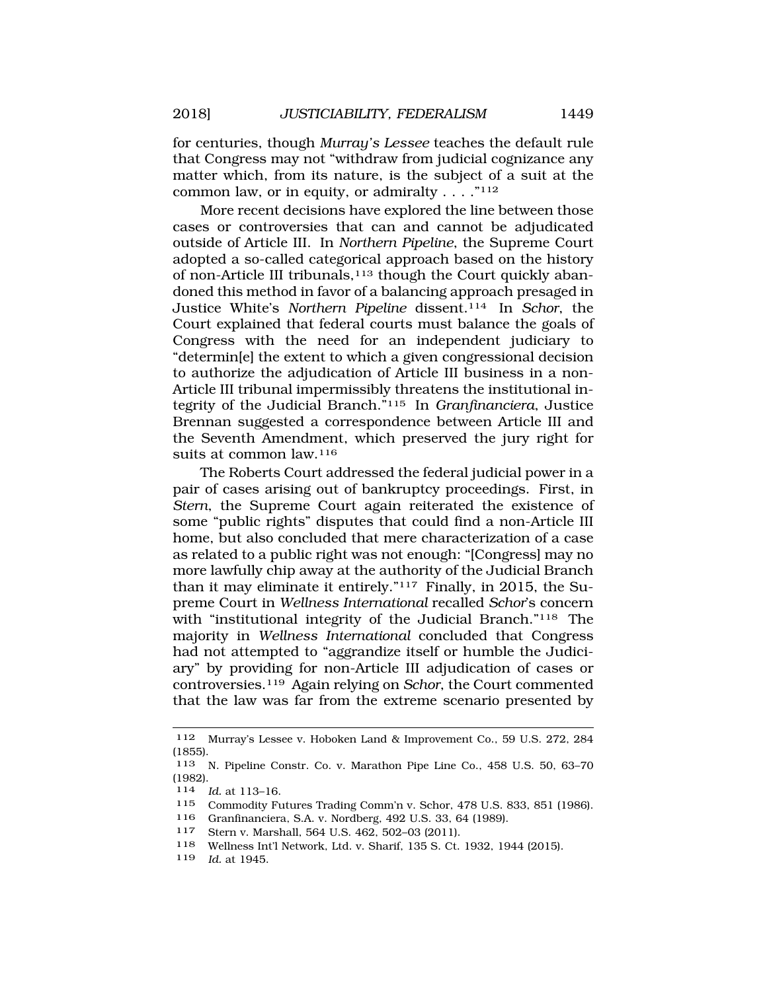for centuries, though *Murray's Lessee* teaches the default rule that Congress may not "withdraw from judicial cognizance any matter which, from its nature, is the subject of a suit at the common law, or in equity, or admiralty  $\ldots$  ."<sup>112</sup>

More recent decisions have explored the line between those cases or controversies that can and cannot be adjudicated outside of Article III. In *Northern Pipeline*, the Supreme Court adopted a so-called categorical approach based on the history of non-Article III tribunals,<sup>113</sup> though the Court quickly abandoned this method in favor of a balancing approach presaged in Justice White's *Northern Pipeline* dissent.114 In *Schor*, the Court explained that federal courts must balance the goals of Congress with the need for an independent judiciary to "determin[e] the extent to which a given congressional decision to authorize the adjudication of Article III business in a non-Article III tribunal impermissibly threatens the institutional integrity of the Judicial Branch."115 In *Granfinanciera*, Justice Brennan suggested a correspondence between Article III and the Seventh Amendment, which preserved the jury right for suits at common law.116

The Roberts Court addressed the federal judicial power in a pair of cases arising out of bankruptcy proceedings. First, in *Stern*, the Supreme Court again reiterated the existence of some "public rights" disputes that could find a non-Article III home, but also concluded that mere characterization of a case as related to a public right was not enough: "[Congress] may no more lawfully chip away at the authority of the Judicial Branch than it may eliminate it entirely."117 Finally, in 2015, the Supreme Court in *Wellness International* recalled *Schor*'s concern with "institutional integrity of the Judicial Branch."118 The majority in *Wellness International* concluded that Congress had not attempted to "aggrandize itself or humble the Judiciary" by providing for non-Article III adjudication of cases or controversies.119 Again relying on *Schor*, the Court commented that the law was far from the extreme scenario presented by

<sup>112</sup> Murray's Lessee v. Hoboken Land & Improvement Co., 59 U.S. 272, 284 (1855).

<sup>113</sup> N. Pipeline Constr. Co. v. Marathon Pipe Line Co., 458 U.S. 50, 63–70 (1982).

<sup>114</sup> *Id.* at 113–16.

<sup>115</sup> Commodity Futures Trading Comm'n v. Schor, 478 U.S. 833, 851 (1986).

<sup>116</sup> Granfinanciera, S.A. v. Nordberg, 492 U.S. 33, 64 (1989).

<sup>117</sup> Stern v. Marshall, 564 U.S. 462, 502–03 (2011).

<sup>118</sup> Wellness Int'l Network, Ltd. v. Sharif, 135 S. Ct. 1932, 1944 (2015).

<sup>119</sup> *Id.* at 1945.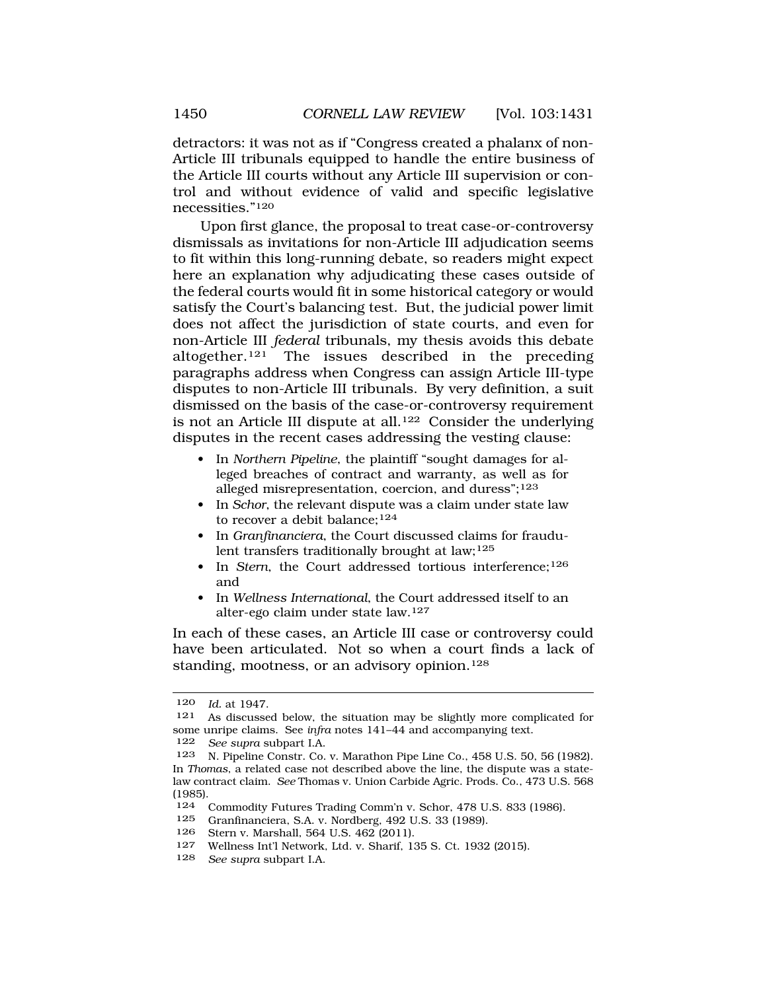detractors: it was not as if "Congress created a phalanx of non-Article III tribunals equipped to handle the entire business of the Article III courts without any Article III supervision or control and without evidence of valid and specific legislative necessities."120

Upon first glance, the proposal to treat case-or-controversy dismissals as invitations for non-Article III adjudication seems to fit within this long-running debate, so readers might expect here an explanation why adjudicating these cases outside of the federal courts would fit in some historical category or would satisfy the Court's balancing test. But, the judicial power limit does not affect the jurisdiction of state courts, and even for non-Article III *federal* tribunals, my thesis avoids this debate altogether.121 The issues described in the preceding paragraphs address when Congress can assign Article III-type disputes to non-Article III tribunals. By very definition, a suit dismissed on the basis of the case-or-controversy requirement is not an Article III dispute at all.<sup>122</sup> Consider the underlying disputes in the recent cases addressing the vesting clause:

- In *Northern Pipeline*, the plaintiff "sought damages for alleged breaches of contract and warranty, as well as for alleged misrepresentation, coercion, and duress";<sup>123</sup>
- In *Schor*, the relevant dispute was a claim under state law to recover a debit balance;<sup>124</sup>
- In *Granfinanciera*, the Court discussed claims for fraudulent transfers traditionally brought at law; $125$
- In *Stern*, the Court addressed tortious interference;<sup>126</sup> and
- In *Wellness International*, the Court addressed itself to an alter-ego claim under state law.<sup>127</sup>

In each of these cases, an Article III case or controversy could have been articulated. Not so when a court finds a lack of standing, mootness, or an advisory opinion.<sup>128</sup>

125 Granfinanciera, S.A. v. Nordberg, 492 U.S. 33 (1989).<br>126 Stern v. Marshall, 564 U.S. 469 (2011).

<sup>120</sup> *Id.* at 1947.

<sup>121</sup> As discussed below, the situation may be slightly more complicated for some unripe claims. See *infra* notes 141–44 and accompanying text.

<sup>122</sup> *See supra* subpart I.A.

<sup>123</sup> N. Pipeline Constr. Co. v. Marathon Pipe Line Co., 458 U.S. 50, 56 (1982). In *Thomas*, a related case not described above the line, the dispute was a statelaw contract claim. *See* Thomas v. Union Carbide Agric. Prods. Co., 473 U.S. 568 (1985).

<sup>124</sup> Commodity Futures Trading Comm'n v. Schor, 478 U.S. 833 (1986).<br>125 Cranfinanciera S.A. v. Nordberg, 492 U.S. 33 (1989).

Stern v. Marshall, 564 U.S. 462 (2011).

<sup>127</sup> Wellness Int'l Network, Ltd. v. Sharif, 135 S. Ct. 1932 (2015).<br>128 See support LA

See supra subpart I.A.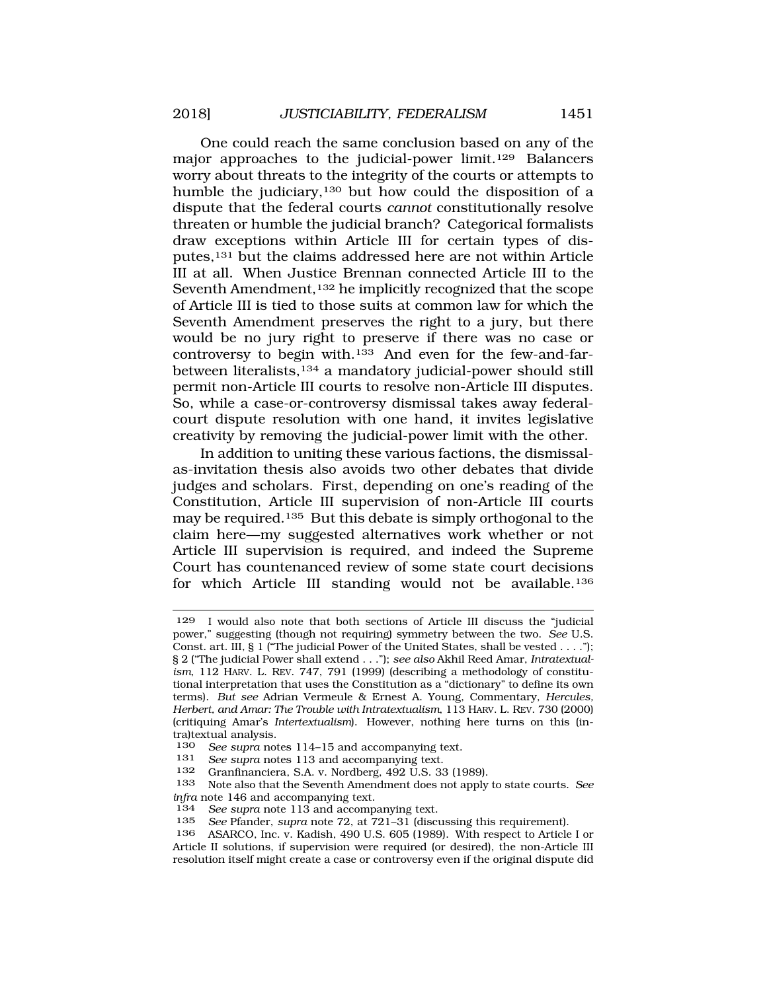One could reach the same conclusion based on any of the major approaches to the judicial-power limit.<sup>129</sup> Balancers worry about threats to the integrity of the courts or attempts to humble the judiciary,130 but how could the disposition of a dispute that the federal courts *cannot* constitutionally resolve threaten or humble the judicial branch? Categorical formalists draw exceptions within Article III for certain types of disputes,131 but the claims addressed here are not within Article III at all. When Justice Brennan connected Article III to the Seventh Amendment,<sup>132</sup> he implicitly recognized that the scope of Article III is tied to those suits at common law for which the Seventh Amendment preserves the right to a jury, but there would be no jury right to preserve if there was no case or controversy to begin with.133 And even for the few-and-farbetween literalists,<sup>134</sup> a mandatory judicial-power should still permit non-Article III courts to resolve non-Article III disputes. So, while a case-or-controversy dismissal takes away federalcourt dispute resolution with one hand, it invites legislative creativity by removing the judicial-power limit with the other.

In addition to uniting these various factions, the dismissalas-invitation thesis also avoids two other debates that divide judges and scholars. First, depending on one's reading of the Constitution, Article III supervision of non-Article III courts may be required.135 But this debate is simply orthogonal to the claim here—my suggested alternatives work whether or not Article III supervision is required, and indeed the Supreme Court has countenanced review of some state court decisions for which Article III standing would not be available.136

<sup>129</sup> I would also note that both sections of Article III discuss the "judicial power," suggesting (though not requiring) symmetry between the two. *See* U.S. Const. art. III, § 1 ("The judicial Power of the United States, shall be vested . . . ."); § 2 ("The judicial Power shall extend . . ."); *see also* Akhil Reed Amar, *Intratextualism*, 112 HARV. L. REV. 747, 791 (1999) (describing a methodology of constitutional interpretation that uses the Constitution as a "dictionary" to define its own terms). *But see* Adrian Vermeule & Ernest A. Young, Commentary, *Hercules, Herbert, and Amar: The Trouble with Intratextualism*, 113 HARV. L. REV. 730 (2000) (critiquing Amar's *Intertextualism*). However, nothing here turns on this (intra)textual analysis.<br>130 See sunra not

See supra notes 114–15 and accompanying text.

<sup>131</sup> *See supra* notes 113 and accompanying text.

<sup>132</sup> Granfinanciera, S.A. v. Nordberg, 492 U.S. 33 (1989).

<sup>133</sup> Note also that the Seventh Amendment does not apply to state courts. *See infra* note 146 and accompanying text.

<sup>134</sup> *See supra* note 113 and accompanying text.

<sup>135</sup> *See* Pfander, *supra* note 72, at 721–31 (discussing this requirement).

<sup>136</sup> ASARCO, Inc. v. Kadish, 490 U.S. 605 (1989). With respect to Article I or Article II solutions, if supervision were required (or desired), the non-Article III resolution itself might create a case or controversy even if the original dispute did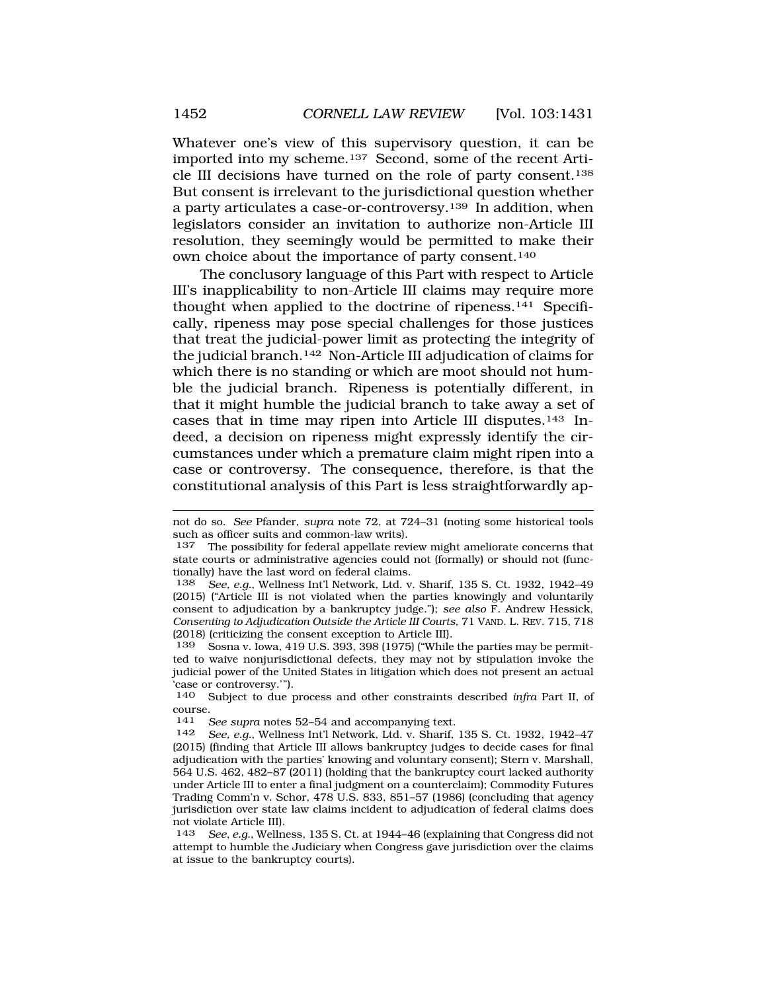Whatever one's view of this supervisory question, it can be imported into my scheme.137 Second, some of the recent Article III decisions have turned on the role of party consent.138 But consent is irrelevant to the jurisdictional question whether a party articulates a case-or-controversy.139 In addition, when legislators consider an invitation to authorize non-Article III resolution, they seemingly would be permitted to make their own choice about the importance of party consent.140

The conclusory language of this Part with respect to Article III's inapplicability to non-Article III claims may require more thought when applied to the doctrine of ripeness.<sup>141</sup> Specifically, ripeness may pose special challenges for those justices that treat the judicial-power limit as protecting the integrity of the judicial branch.142 Non-Article III adjudication of claims for which there is no standing or which are moot should not humble the judicial branch. Ripeness is potentially different, in that it might humble the judicial branch to take away a set of cases that in time may ripen into Article III disputes.143 Indeed, a decision on ripeness might expressly identify the circumstances under which a premature claim might ripen into a case or controversy. The consequence, therefore, is that the constitutional analysis of this Part is less straightforwardly ap-

not do so. *See* Pfander, *supra* note 72, at 724–31 (noting some historical tools such as officer suits and common-law writs).

<sup>137</sup> The possibility for federal appellate review might ameliorate concerns that state courts or administrative agencies could not (formally) or should not (functionally) have the last word on federal claims.

<sup>138</sup> *See, e.g.*, Wellness Int'l Network, Ltd. v. Sharif, 135 S. Ct. 1932, 1942–49 (2015) ("Article III is not violated when the parties knowingly and voluntarily consent to adjudication by a bankruptcy judge."); *see also* F. Andrew Hessick, *Consenting to Adjudication Outside the Article III Courts*, 71 VAND. L. REV. 715, 718 (2018) (criticizing the consent exception to Article III).

<sup>139</sup> Sosna v. Iowa, 419 U.S. 393, 398 (1975) ("While the parties may be permitted to waive nonjurisdictional defects, they may not by stipulation invoke the judicial power of the United States in litigation which does not present an actual .<br>'case or controversy.'").<br>140 Subject to due r

<sup>140</sup> Subject to due process and other constraints described *infra* Part II, of course.

<sup>141</sup> *See supra* notes 52–54 and accompanying text.

<sup>142</sup> *See, e.g.*, Wellness Int'l Network, Ltd. v. Sharif, 135 S. Ct. 1932, 1942–47 (2015) (finding that Article III allows bankruptcy judges to decide cases for final adjudication with the parties' knowing and voluntary consent); Stern v. Marshall, 564 U.S. 462, 482–87 (2011) (holding that the bankruptcy court lacked authority under Article III to enter a final judgment on a counterclaim); Commodity Futures Trading Comm'n v. Schor, 478 U.S. 833, 851–57 (1986) (concluding that agency jurisdiction over state law claims incident to adjudication of federal claims does not violate Article III).

<sup>143</sup> *See, e.g.*, Wellness, 135 S. Ct. at 1944–46 (explaining that Congress did not attempt to humble the Judiciary when Congress gave jurisdiction over the claims at issue to the bankruptcy courts).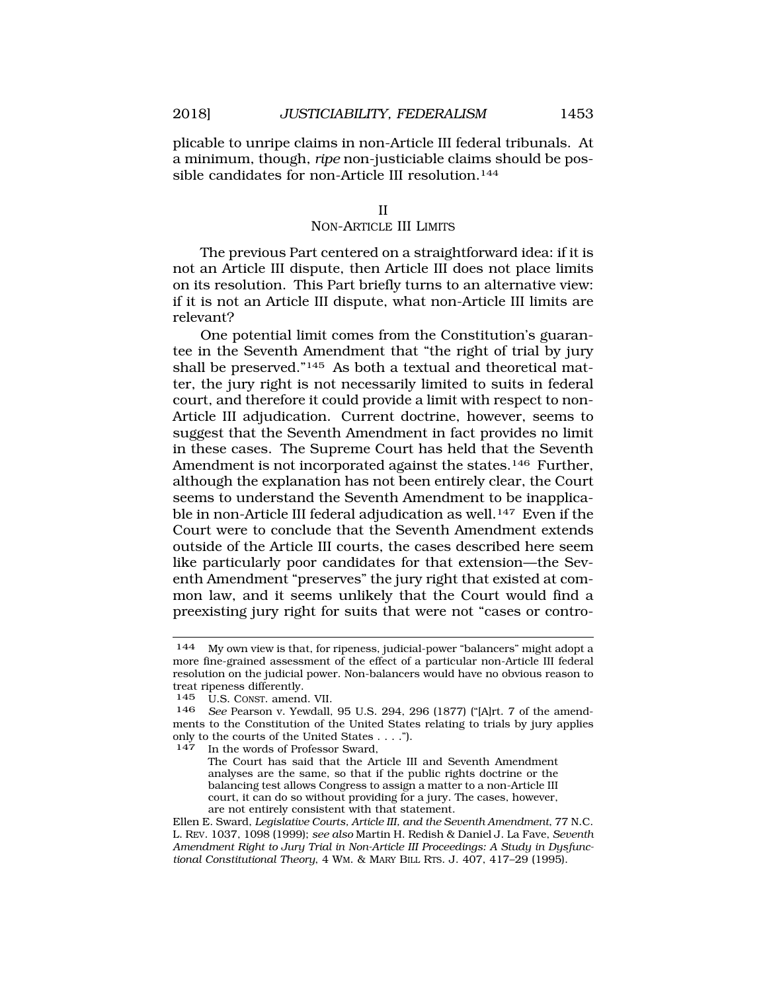plicable to unripe claims in non-Article III federal tribunals. At a minimum, though, *ripe* non-justiciable claims should be possible candidates for non-Article III resolution.<sup>144</sup>

#### II

#### NON-ARTICLE III LIMITS

The previous Part centered on a straightforward idea: if it is not an Article III dispute, then Article III does not place limits on its resolution. This Part briefly turns to an alternative view: if it is not an Article III dispute, what non-Article III limits are relevant?

One potential limit comes from the Constitution's guarantee in the Seventh Amendment that "the right of trial by jury shall be preserved."145 As both a textual and theoretical matter, the jury right is not necessarily limited to suits in federal court, and therefore it could provide a limit with respect to non-Article III adjudication. Current doctrine, however, seems to suggest that the Seventh Amendment in fact provides no limit in these cases. The Supreme Court has held that the Seventh Amendment is not incorporated against the states.<sup>146</sup> Further, although the explanation has not been entirely clear, the Court seems to understand the Seventh Amendment to be inapplicable in non-Article III federal adjudication as well.<sup>147</sup> Even if the Court were to conclude that the Seventh Amendment extends outside of the Article III courts, the cases described here seem like particularly poor candidates for that extension—the Seventh Amendment "preserves" the jury right that existed at common law, and it seems unlikely that the Court would find a preexisting jury right for suits that were not "cases or contro-

In the words of Professor Sward,

The Court has said that the Article III and Seventh Amendment analyses are the same, so that if the public rights doctrine or the balancing test allows Congress to assign a matter to a non-Article III court, it can do so without providing for a jury. The cases, however, are not entirely consistent with that statement.

<sup>144</sup> My own view is that, for ripeness, judicial-power "balancers" might adopt a more fine-grained assessment of the effect of a particular non-Article III federal resolution on the judicial power. Non-balancers would have no obvious reason to treat ripeness differently.

<sup>145</sup> U.S. CONST. amend. VII.<br>146 See Pearson v Yewdall

See Pearson v. Yewdall, 95 U.S. 294, 296 (1877) ("[A]rt. 7 of the amendments to the Constitution of the United States relating to trials by jury applies only to the courts of the United States  $\dots$ .").<br>147 In the words of Professor Sward

Ellen E. Sward, *Legislative Courts, Article III, and the Seventh Amendment*, 77 N.C. L. REV. 1037, 1098 (1999); *see also* Martin H. Redish & Daniel J. La Fave, *Seventh Amendment Right to Jury Trial in Non-Article III Proceedings: A Study in Dysfunctional Constitutional Theory*, 4 WM. & MARY BILL RTS. J. 407, 417–29 (1995).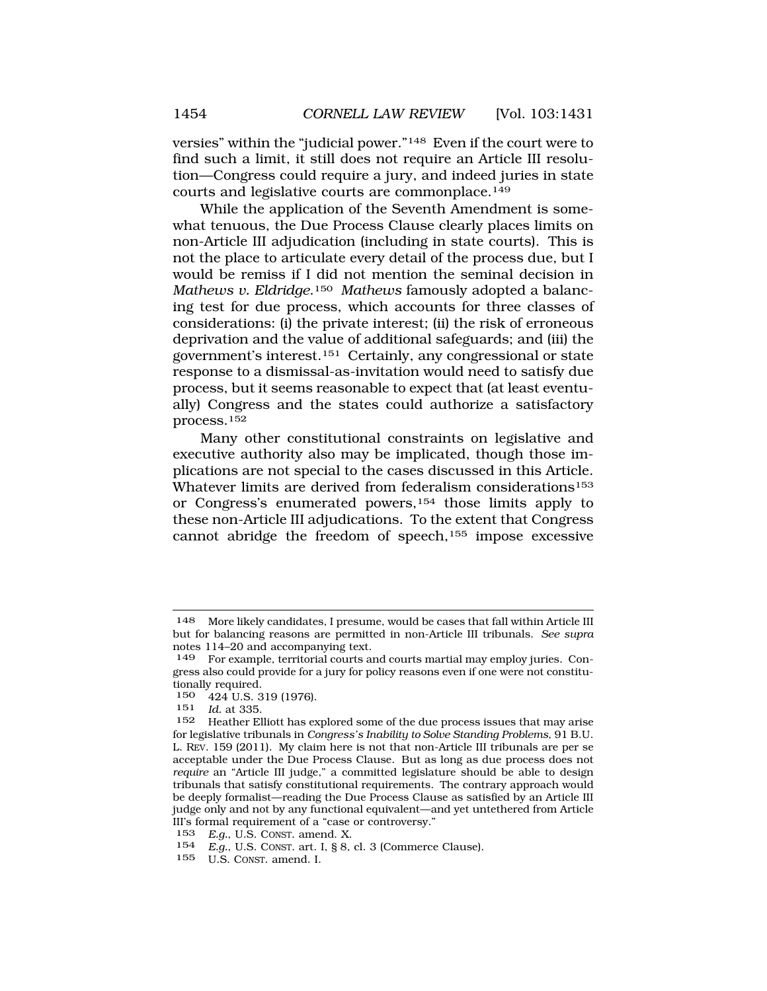versies" within the "judicial power."148 Even if the court were to find such a limit, it still does not require an Article III resolution—Congress could require a jury, and indeed juries in state courts and legislative courts are commonplace.149

While the application of the Seventh Amendment is somewhat tenuous, the Due Process Clause clearly places limits on non-Article III adjudication (including in state courts). This is not the place to articulate every detail of the process due, but I would be remiss if I did not mention the seminal decision in *Mathews v. Eldridge*.150 *Mathews* famously adopted a balancing test for due process, which accounts for three classes of considerations: (i) the private interest; (ii) the risk of erroneous deprivation and the value of additional safeguards; and (iii) the government's interest.151 Certainly, any congressional or state response to a dismissal-as-invitation would need to satisfy due process, but it seems reasonable to expect that (at least eventually) Congress and the states could authorize a satisfactory process.152

Many other constitutional constraints on legislative and executive authority also may be implicated, though those implications are not special to the cases discussed in this Article. Whatever limits are derived from federalism considerations<sup>153</sup> or Congress's enumerated powers,154 those limits apply to these non-Article III adjudications. To the extent that Congress cannot abridge the freedom of speech,155 impose excessive

<sup>148</sup> More likely candidates, I presume, would be cases that fall within Article III but for balancing reasons are permitted in non-Article III tribunals. *See supra*  notes 114–20 and accompanying text.

<sup>149</sup> For example, territorial courts and courts martial may employ juries. Congress also could provide for a jury for policy reasons even if one were not constitutionally required.

<sup>150</sup>  $424$  U.S. 319 (1976).<br>151 *Id* at 335

*Id.* at 335.

<sup>152</sup> Heather Elliott has explored some of the due process issues that may arise for legislative tribunals in *Congress's Inability to Solve Standing Problems*, 91 B.U. L. REV. 159 (2011). My claim here is not that non-Article III tribunals are per se acceptable under the Due Process Clause. But as long as due process does not *require* an "Article III judge," a committed legislature should be able to design tribunals that satisfy constitutional requirements. The contrary approach would be deeply formalist—reading the Due Process Clause as satisfied by an Article III judge only and not by any functional equivalent—and yet untethered from Article III's formal requirement of a "case or controversy."

<sup>153</sup> *E.g.*, U.S. CONST. amend. X.

<sup>154</sup> *E.g.*, U.S. CONST. art. I, § 8, cl. 3 (Commerce Clause).

<sup>155</sup> U.S. CONST. amend. I.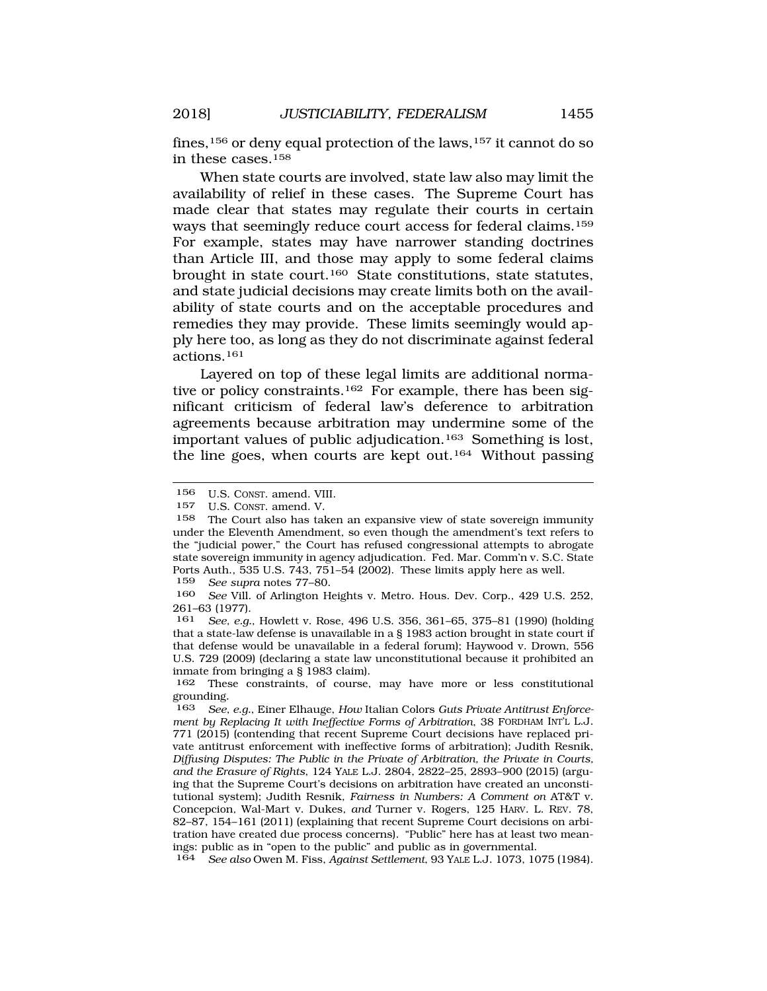fines,  $156$  or deny equal protection of the laws,  $157$  it cannot do so in these cases.158

When state courts are involved, state law also may limit the availability of relief in these cases. The Supreme Court has made clear that states may regulate their courts in certain ways that seemingly reduce court access for federal claims.159 For example, states may have narrower standing doctrines than Article III, and those may apply to some federal claims brought in state court.160 State constitutions, state statutes, and state judicial decisions may create limits both on the availability of state courts and on the acceptable procedures and remedies they may provide. These limits seemingly would apply here too, as long as they do not discriminate against federal actions.161

Layered on top of these legal limits are additional normative or policy constraints.<sup>162</sup> For example, there has been significant criticism of federal law's deference to arbitration agreements because arbitration may undermine some of the important values of public adjudication.163 Something is lost, the line goes, when courts are kept out.164 Without passing

159 *See supra* notes 77–80.

160 *See* Vill. of Arlington Heights v. Metro. Hous. Dev. Corp., 429 U.S. 252, 261–63 (1977).

161 *See, e.g.*, Howlett v. Rose, 496 U.S. 356, 361–65, 375–81 (1990) (holding that a state-law defense is unavailable in a § 1983 action brought in state court if that defense would be unavailable in a federal forum); Haywood v. Drown, 556 U.S. 729 (2009) (declaring a state law unconstitutional because it prohibited an inmate from bringing a § 1983 claim).

162 These constraints, of course, may have more or less constitutional grounding.

163 *See, e.g.*, Einer Elhauge, *How* Italian Colors *Guts Private Antitrust Enforcement by Replacing It with Ineffective Forms of Arbitration*, 38 FORDHAM INT'L L.J. 771 (2015) (contending that recent Supreme Court decisions have replaced private antitrust enforcement with ineffective forms of arbitration); Judith Resnik, *Diffusing Disputes: The Public in the Private of Arbitration, the Private in Courts, and the Erasure of Rights*, 124 YALE L.J. 2804, 2822–25, 2893–900 (2015) (arguing that the Supreme Court's decisions on arbitration have created an unconstitutional system); Judith Resnik, *Fairness in Numbers: A Comment on* AT&T v. Concepcion*,* Wal-Mart v. Dukes*, and* Turner v. Rogers, 125 HARV. L. REV. 78, 82–87, 154–161 (2011) (explaining that recent Supreme Court decisions on arbitration have created due process concerns). "Public" here has at least two meanings: public as in "open to the public" and public as in governmental.

164 *See also* Owen M. Fiss, *Against Settlement*, 93 YALE L.J. 1073, 1075 (1984).

<sup>156</sup> U.S. CONST. amend. VIII.

<sup>157</sup> U.S. CONST. amend. V.<br>158 The Court also has tal

The Court also has taken an expansive view of state sovereign immunity under the Eleventh Amendment, so even though the amendment's text refers to the "judicial power," the Court has refused congressional attempts to abrogate state sovereign immunity in agency adjudication. Fed. Mar. Comm'n v. S.C. State Ports Auth., 535 U.S. 743, 751–54 (2002). These limits apply here as well.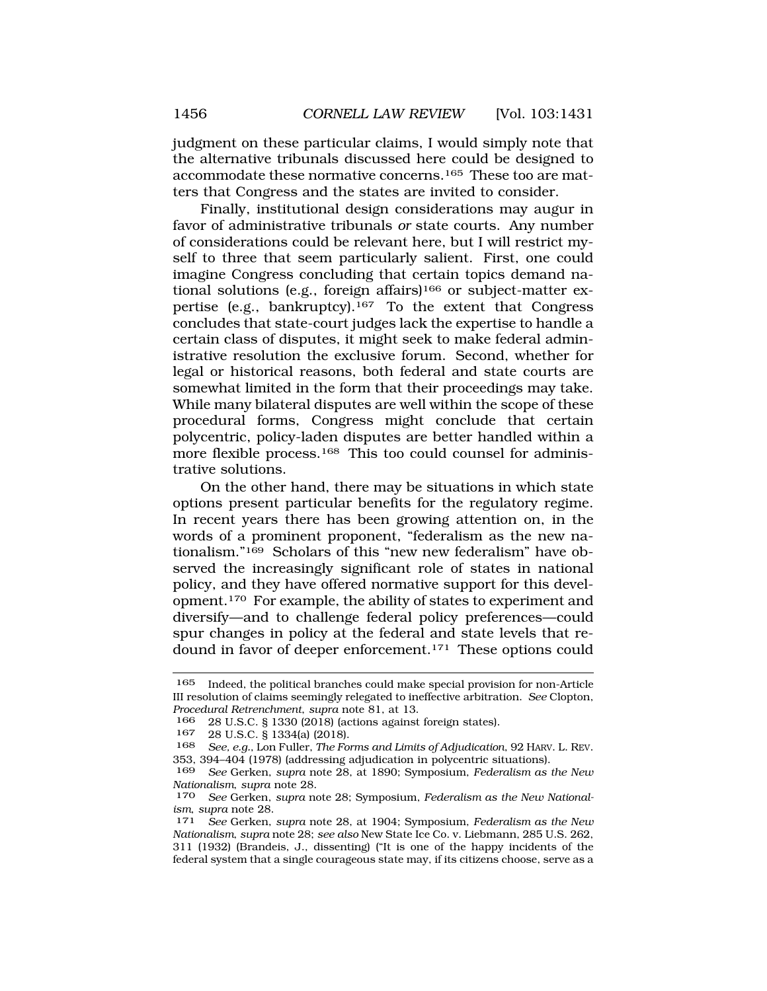judgment on these particular claims, I would simply note that the alternative tribunals discussed here could be designed to accommodate these normative concerns.165 These too are matters that Congress and the states are invited to consider.

Finally, institutional design considerations may augur in favor of administrative tribunals *or* state courts. Any number of considerations could be relevant here, but I will restrict myself to three that seem particularly salient. First, one could imagine Congress concluding that certain topics demand national solutions (e.g., foreign affairs)<sup>166</sup> or subject-matter expertise (e.g., bankruptcy).<sup>167</sup> To the extent that Congress concludes that state-court judges lack the expertise to handle a certain class of disputes, it might seek to make federal administrative resolution the exclusive forum. Second, whether for legal or historical reasons, both federal and state courts are somewhat limited in the form that their proceedings may take. While many bilateral disputes are well within the scope of these procedural forms, Congress might conclude that certain polycentric, policy-laden disputes are better handled within a more flexible process.168 This too could counsel for administrative solutions.

On the other hand, there may be situations in which state options present particular benefits for the regulatory regime. In recent years there has been growing attention on, in the words of a prominent proponent, "federalism as the new nationalism."169 Scholars of this "new new federalism" have observed the increasingly significant role of states in national policy, and they have offered normative support for this development.170 For example, the ability of states to experiment and diversify—and to challenge federal policy preferences—could spur changes in policy at the federal and state levels that redound in favor of deeper enforcement.171 These options could

<sup>165</sup> Indeed, the political branches could make special provision for non-Article III resolution of claims seemingly relegated to ineffective arbitration. *See* Clopton, *Procedural Retrenchment*, *supra* note 81, at 13.

<sup>166 28</sup> U.S.C. § 1330 (2018) (actions against foreign states).

<sup>167 28</sup> U.S.C. § 1334(a) (2018).<br>168 See e.g. Lon Fuller The Fo

<sup>168</sup> *See, e.g.*, Lon Fuller, *The Forms and Limits of Adjudication*, 92 HARV. L. REV. 353, 394–404 (1978) (addressing adjudication in polycentric situations).

<sup>169</sup> *See* Gerken, *supra* note 28, at 1890; Symposium, *Federalism as the New Nationalism*, *supra* note 28.

<sup>170</sup> *See* Gerken, *supra* note 28; Symposium, *Federalism as the New Nationalism*, *supra* note 28. 171 *See* Gerken, *supra* note 28, at 1904; Symposium, *Federalism as the New* 

*Nationalism*, *supra* note 28; *see also* New State Ice Co. v. Liebmann, 285 U.S. 262, 311 (1932) (Brandeis, J., dissenting) ("It is one of the happy incidents of the federal system that a single courageous state may, if its citizens choose, serve as a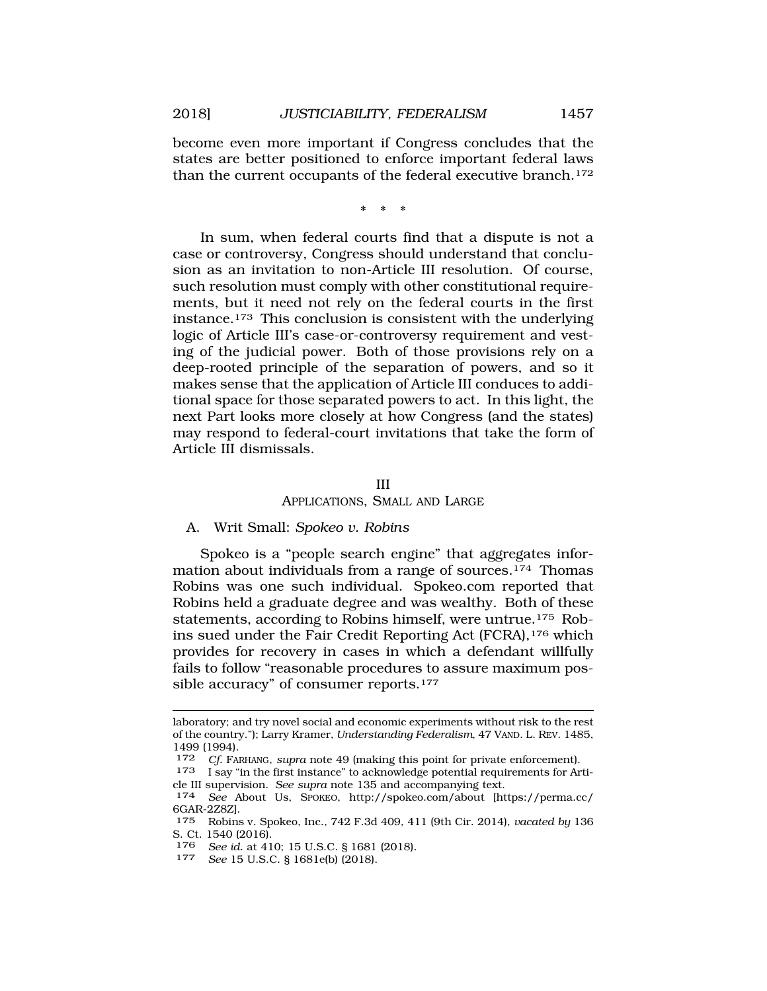become even more important if Congress concludes that the states are better positioned to enforce important federal laws than the current occupants of the federal executive branch.<sup>172</sup>

\*\*\*

In sum, when federal courts find that a dispute is not a case or controversy, Congress should understand that conclusion as an invitation to non-Article III resolution. Of course, such resolution must comply with other constitutional requirements, but it need not rely on the federal courts in the first instance.173 This conclusion is consistent with the underlying logic of Article III's case-or-controversy requirement and vesting of the judicial power. Both of those provisions rely on a deep-rooted principle of the separation of powers, and so it makes sense that the application of Article III conduces to additional space for those separated powers to act. In this light, the next Part looks more closely at how Congress (and the states) may respond to federal-court invitations that take the form of Article III dismissals.

#### III

APPLICATIONS, SMALL AND LARGE

### A. Writ Small: *Spokeo v. Robins*

Spokeo is a "people search engine" that aggregates information about individuals from a range of sources.174 Thomas Robins was one such individual. [Spokeo.com](https://Spokeo.com) reported that Robins held a graduate degree and was wealthy. Both of these statements, according to Robins himself, were untrue.175 Robins sued under the Fair Credit Reporting Act (FCRA),<sup>176</sup> which provides for recovery in cases in which a defendant willfully fails to follow "reasonable procedures to assure maximum possible accuracy" of consumer reports.<sup>177</sup>

laboratory; and try novel social and economic experiments without risk to the rest of the country."); Larry Kramer, *Understanding Federalism*, 47 VAND. L. REV. 1485, 1499 (1994).

<sup>172</sup> *Cf.* FARHANG, *supra* note 49 (making this point for private enforcement).

 $173$  I say "in the first instance" to acknowledge potential requirements for Arti-cle III supervision. See supra note 135 and accompanying text.

<sup>174</sup> See About Us, SPOKEO, <http://spokeo.com/about>[\[https://perma.cc/](https://perma.cc) 6GAR-2Z8Z].

<sup>175</sup> Robins v. Spokeo, Inc., 742 F.3d 409, 411 (9th Cir. 2014), *vacated by* 136 S. Ct. 1540 (2016).

<sup>176</sup>*See id.* at 410; 15 U.S.C. § 1681 (2018)*.* 177 *See* 15 U.S.C. § 1681e(b) (2018).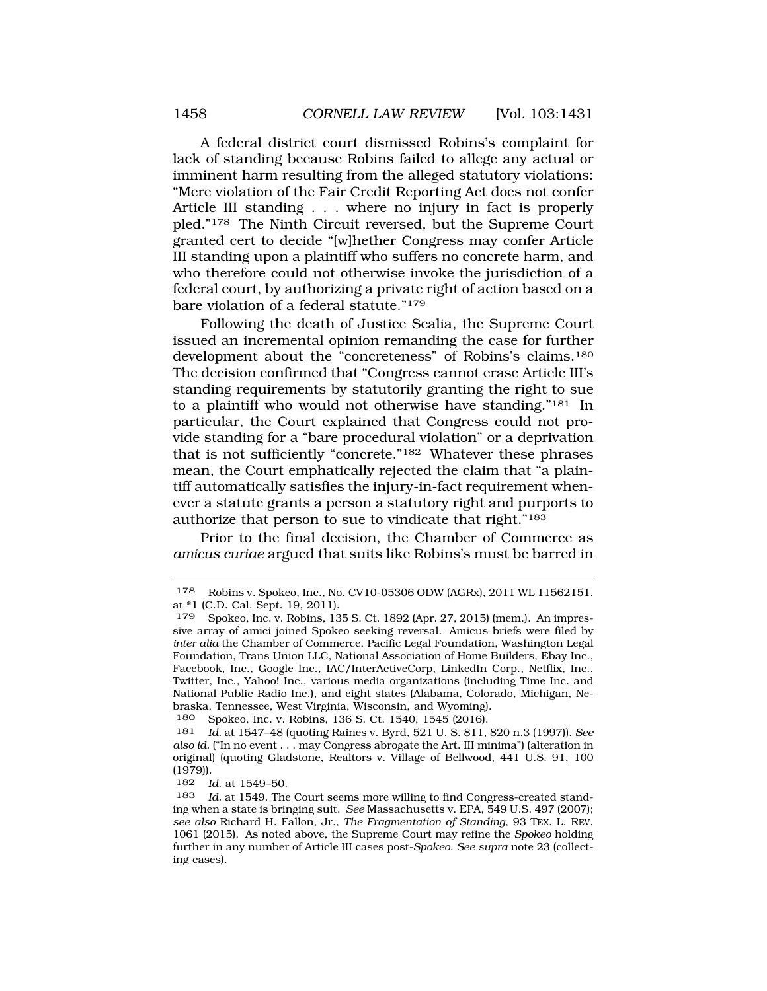A federal district court dismissed Robins's complaint for lack of standing because Robins failed to allege any actual or imminent harm resulting from the alleged statutory violations: "Mere violation of the Fair Credit Reporting Act does not confer Article III standing . . . where no injury in fact is properly pled."178 The Ninth Circuit reversed, but the Supreme Court granted cert to decide "[w]hether Congress may confer Article III standing upon a plaintiff who suffers no concrete harm, and who therefore could not otherwise invoke the jurisdiction of a federal court, by authorizing a private right of action based on a bare violation of a federal statute."179

Following the death of Justice Scalia, the Supreme Court issued an incremental opinion remanding the case for further development about the "concreteness" of Robins's claims.180 The decision confirmed that "Congress cannot erase Article III's standing requirements by statutorily granting the right to sue to a plaintiff who would not otherwise have standing."181 In particular, the Court explained that Congress could not provide standing for a "bare procedural violation" or a deprivation that is not sufficiently "concrete."182 Whatever these phrases mean, the Court emphatically rejected the claim that "a plaintiff automatically satisfies the injury-in-fact requirement whenever a statute grants a person a statutory right and purports to authorize that person to sue to vindicate that right."183

Prior to the final decision, the Chamber of Commerce as *amicus curiae* argued that suits like Robins's must be barred in

180 Spokeo, Inc. v. Robins, 136 S. Ct. 1540, 1545 (2016).

182 *Id.* at 1549–50.

<sup>178</sup> Robins v. Spokeo, Inc., No. CV10-05306 ODW (AGRx), 2011 WL 11562151, at \*1 (C.D. Cal. Sept. 19, 2011).

<sup>179</sup> Spokeo, Inc. v. Robins, 135 S. Ct. 1892 (Apr. 27, 2015) (mem.). An impressive array of amici joined Spokeo seeking reversal. Amicus briefs were filed by *inter alia* the Chamber of Commerce, Pacific Legal Foundation, Washington Legal Foundation, Trans Union LLC, National Association of Home Builders, Ebay Inc., Facebook, Inc., Google Inc., IAC/InterActiveCorp, LinkedIn Corp., Netflix, Inc., Twitter, Inc., Yahoo! Inc., various media organizations (including Time Inc. and National Public Radio Inc.), and eight states (Alabama, Colorado, Michigan, Nebraska, Tennessee, West Virginia, Wisconsin, and Wyoming).

<sup>181</sup> *Id.* at 1547–48 (quoting Raines v. Byrd, 521 U. S. 811, 820 n.3 (1997)). *See also id.* ("In no event . . . may Congress abrogate the Art. III minima") (alteration in original) (quoting Gladstone, Realtors v. Village of Bellwood, 441 U.S. 91, 100 (1979)).

<sup>183</sup> *Id.* at 1549. The Court seems more willing to find Congress-created standing when a state is bringing suit. *See* Massachusetts v. EPA, 549 U.S. 497 (2007); *see also* Richard H. Fallon, Jr., *The Fragmentation of Standing*, 93 TEX. L. REV. 1061 (2015). As noted above, the Supreme Court may refine the *Spokeo* holding further in any number of Article III cases post-*Spokeo*. *See supra* note 23 (collecting cases).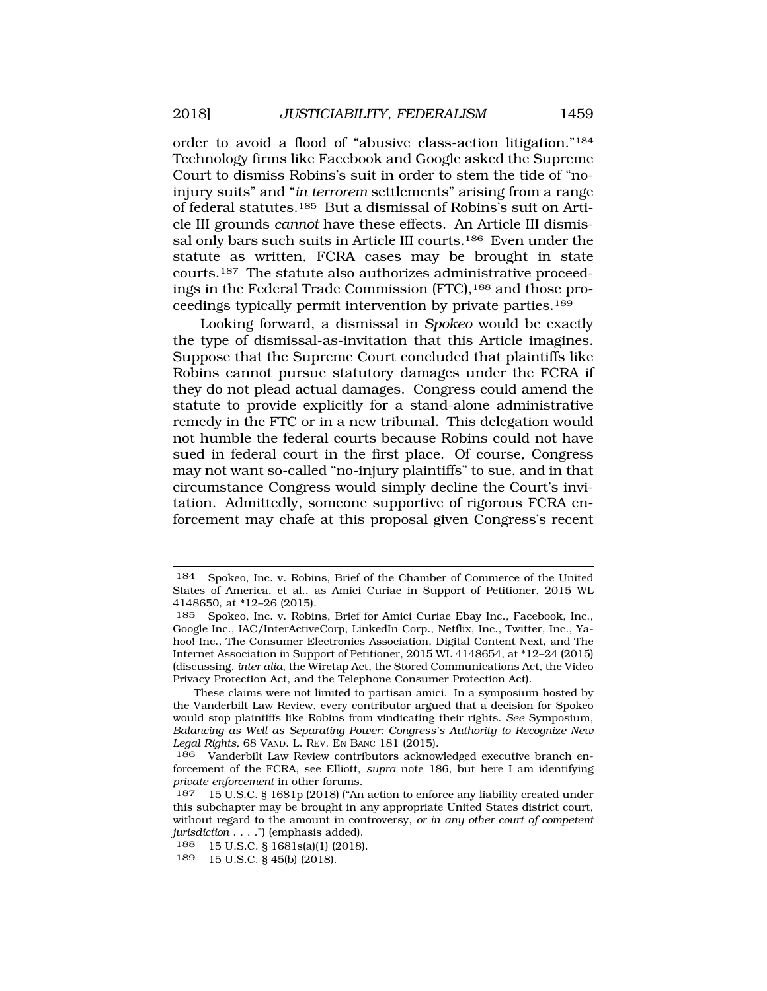order to avoid a flood of "abusive class-action litigation."184 Technology firms like Facebook and Google asked the Supreme Court to dismiss Robins's suit in order to stem the tide of "noinjury suits" and "*in terrorem* settlements" arising from a range of federal statutes.185 But a dismissal of Robins's suit on Article III grounds *cannot* have these effects. An Article III dismissal only bars such suits in Article III courts.186 Even under the statute as written, FCRA cases may be brought in state courts.187 The statute also authorizes administrative proceedings in the Federal Trade Commission (FTC), 188 and those proceedings typically permit intervention by private parties.189

Looking forward, a dismissal in *Spokeo* would be exactly the type of dismissal-as-invitation that this Article imagines. Suppose that the Supreme Court concluded that plaintiffs like Robins cannot pursue statutory damages under the FCRA if they do not plead actual damages. Congress could amend the statute to provide explicitly for a stand-alone administrative remedy in the FTC or in a new tribunal. This delegation would not humble the federal courts because Robins could not have sued in federal court in the first place. Of course, Congress may not want so-called "no-injury plaintiffs" to sue, and in that circumstance Congress would simply decline the Court's invitation. Admittedly, someone supportive of rigorous FCRA enforcement may chafe at this proposal given Congress's recent

<sup>184</sup> Spokeo, Inc. v. Robins, Brief of the Chamber of Commerce of the United States of America, et al., as Amici Curiae in Support of Petitioner, 2015 WL 4148650, at \*12–26 (2015).

<sup>185</sup> Spokeo, Inc. v. Robins, Brief for Amici Curiae Ebay Inc., Facebook, Inc., Google Inc., IAC/InterActiveCorp, LinkedIn Corp., Netflix, Inc., Twitter, Inc., Yahoo! Inc., The Consumer Electronics Association, Digital Content Next, and The Internet Association in Support of Petitioner, 2015 WL 4148654, at \*12–24 (2015) (discussing, *inter alia*, the Wiretap Act, the Stored Communications Act, the Video Privacy Protection Act, and the Telephone Consumer Protection Act).

These claims were not limited to partisan amici. In a symposium hosted by the Vanderbilt Law Review, every contributor argued that a decision for Spokeo would stop plaintiffs like Robins from vindicating their rights. *See* Symposium, *Balancing as Well as Separating Power: Congress's Authority to Recognize New Legal Rights,* 68 VAND. L. REV. EN BANC 181 (2015).

<sup>186</sup> Vanderbilt Law Review contributors acknowledged executive branch enforcement of the FCRA, see Elliott, *supra* note 186, but here I am identifying *private enforcement* in other forums.

<sup>187 15</sup> U.S.C. § 1681p (2018) ("An action to enforce any liability created under this subchapter may be brought in any appropriate United States district court, without regard to the amount in controversy, *or in any other court of competent jurisdiction* . . . .") (emphasis added).

<sup>188 15</sup> U.S.C. § 1681s(a)(1) (2018).

<sup>15</sup> U.S.C. § 45(b) (2018).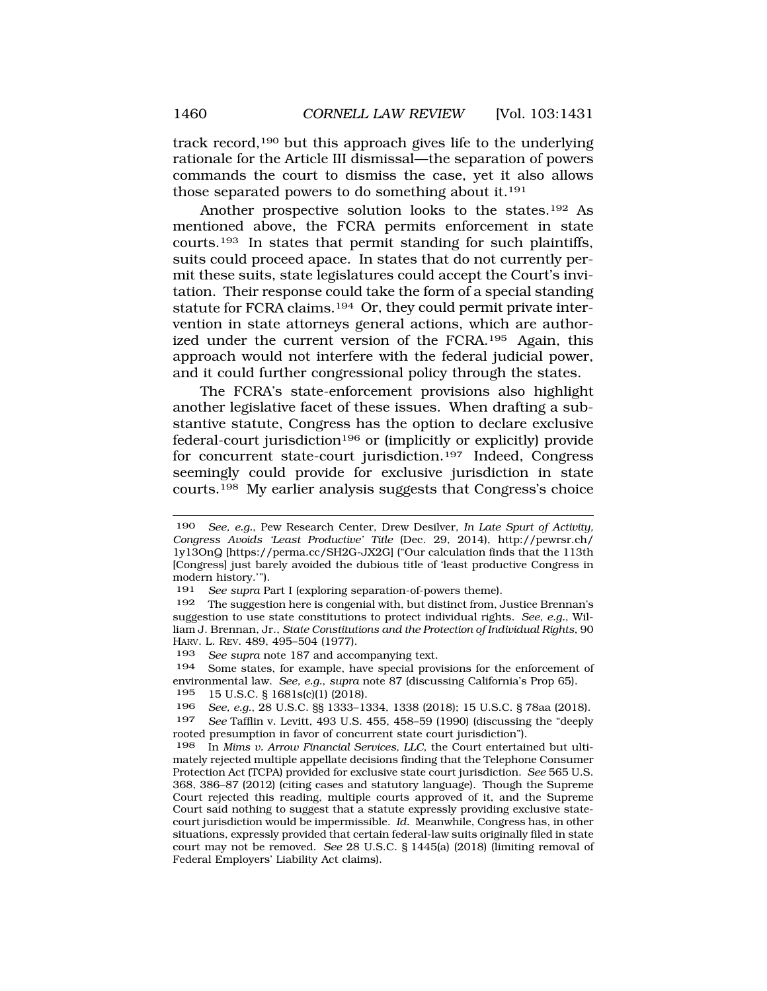track record,190 but this approach gives life to the underlying rationale for the Article III dismissal—the separation of powers commands the court to dismiss the case, yet it also allows those separated powers to do something about it.191

Another prospective solution looks to the states.192 As mentioned above, the FCRA permits enforcement in state courts.193 In states that permit standing for such plaintiffs, suits could proceed apace. In states that do not currently permit these suits, state legislatures could accept the Court's invitation. Their response could take the form of a special standing statute for FCRA claims.194 Or, they could permit private intervention in state attorneys general actions, which are authorized under the current version of the FCRA.195 Again, this approach would not interfere with the federal judicial power, and it could further congressional policy through the states.

The FCRA's state-enforcement provisions also highlight another legislative facet of these issues. When drafting a substantive statute, Congress has the option to declare exclusive federal-court jurisdiction196 or (implicitly or explicitly) provide for concurrent state-court jurisdiction.197 Indeed, Congress seemingly could provide for exclusive jurisdiction in state courts.198 My earlier analysis suggests that Congress's choice

<sup>190</sup> *See, e.g.*, Pew Research Center, Drew Desilver, *In Late Spurt of Activity, Congress Avoids 'Least Productive' Title* (Dec. 29, 2014), [http://pewrsr.ch/](http://pewrsr.ch) 1y13OnQ [\[https://perma.cc/SH2G-JX2G\]](https://perma.cc/SH2G-JX2G) ("Our calculation finds that the 113th [Congress] just barely avoided the dubious title of 'least productive Congress in modern history.'").

<sup>191</sup> *See supra* Part I (exploring separation-of-powers theme).

<sup>192</sup> The suggestion here is congenial with, but distinct from, Justice Brennan's suggestion to use state constitutions to protect individual rights. *See, e.g.*, William J. Brennan, Jr., *State Constitutions and the Protection of Individual Rights*, 90 HARV. L. REV. 489, 495–504 (1977).

<sup>193</sup> *See supra* note 187 and accompanying text.

<sup>194</sup> Some states, for example, have special provisions for the enforcement of environmental law. *See, e.g.*, *supra* note 87 (discussing California's Prop 65).

<sup>195 15</sup> U.S.C. § 1681s(c)(1) (2018).

<sup>196</sup> *See, e.g.*, 28 U.S.C. §§ 1333–1334, 1338 (2018); 15 U.S.C. § 78aa (2018).

<sup>197</sup> *See* Tafflin v. Levitt, 493 U.S. 455, 458–59 (1990) (discussing the "deeply rooted presumption in favor of concurrent state court jurisdiction").

<sup>198</sup> In *Mims v. Arrow Financial Services, LLC*, the Court entertained but ultimately rejected multiple appellate decisions finding that the Telephone Consumer Protection Act (TCPA) provided for exclusive state court jurisdiction. *See* 565 U.S. 368, 386–87 (2012) (citing cases and statutory language). Though the Supreme Court rejected this reading, multiple courts approved of it, and the Supreme Court said nothing to suggest that a statute expressly providing exclusive statecourt jurisdiction would be impermissible. *Id.* Meanwhile, Congress has, in other situations, expressly provided that certain federal-law suits originally filed in state court may not be removed. *See* 28 U.S.C. § 1445(a) (2018) (limiting removal of Federal Employers' Liability Act claims).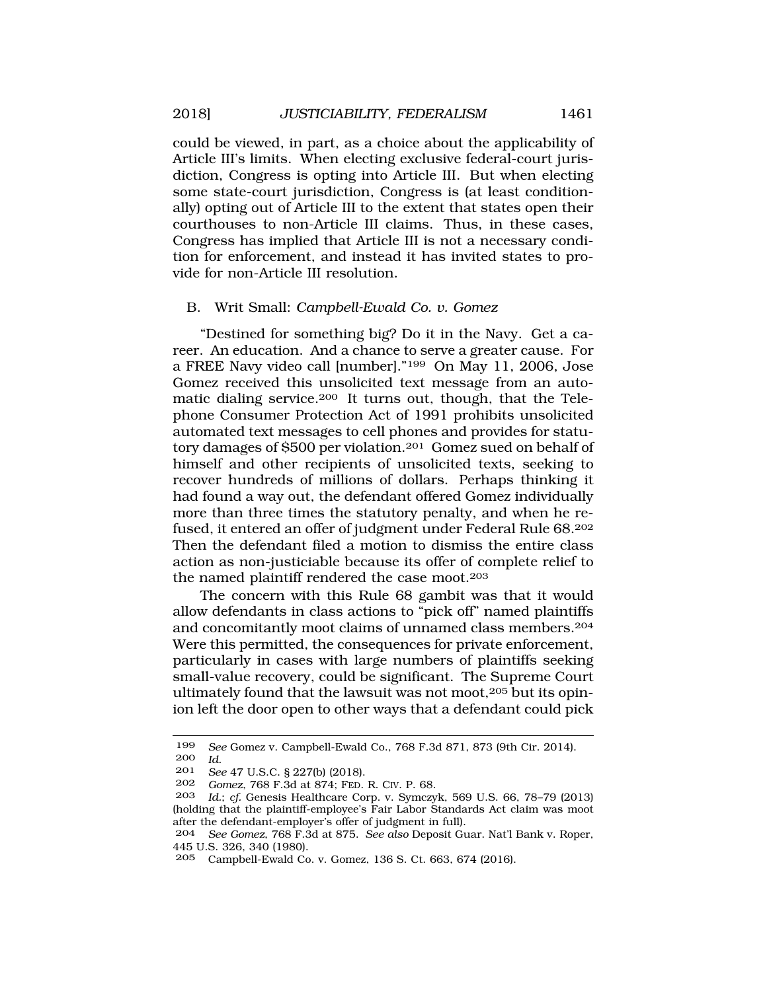could be viewed, in part, as a choice about the applicability of Article III's limits. When electing exclusive federal-court jurisdiction, Congress is opting into Article III. But when electing some state-court jurisdiction, Congress is (at least conditionally) opting out of Article III to the extent that states open their courthouses to non-Article III claims. Thus, in these cases, Congress has implied that Article III is not a necessary condition for enforcement, and instead it has invited states to provide for non-Article III resolution.

## B. Writ Small: *Campbell-Ewald Co. v. Gomez*

"Destined for something big? Do it in the Navy. Get a career. An education. And a chance to serve a greater cause. For a FREE Navy video call [number]."199 On May 11, 2006, Jose Gomez received this unsolicited text message from an automatic dialing service.200 It turns out, though, that the Telephone Consumer Protection Act of 1991 prohibits unsolicited automated text messages to cell phones and provides for statutory damages of \$500 per violation.201 Gomez sued on behalf of himself and other recipients of unsolicited texts, seeking to recover hundreds of millions of dollars. Perhaps thinking it had found a way out, the defendant offered Gomez individually more than three times the statutory penalty, and when he refused, it entered an offer of judgment under Federal Rule 68.202 Then the defendant filed a motion to dismiss the entire class action as non-justiciable because its offer of complete relief to the named plaintiff rendered the case moot.203

The concern with this Rule 68 gambit was that it would allow defendants in class actions to "pick off" named plaintiffs and concomitantly moot claims of unnamed class members.204 Were this permitted, the consequences for private enforcement, particularly in cases with large numbers of plaintiffs seeking small-value recovery, could be significant. The Supreme Court ultimately found that the lawsuit was not moot,205 but its opinion left the door open to other ways that a defendant could pick

<sup>199</sup> *See* Gomez v. Campbell-Ewald Co., 768 F.3d 871, 873 (9th Cir. 2014). 200 *Id.* 

<sup>201</sup> *See* 47 U.S.C. § 227(b) (2018).<br>202 *Comez* 768 F.3d at 874: FED

<sup>202</sup> *Gomez*, 768 F.3d at 874; FED. R. CIV. P. 68.

Id.; *cf.* Genesis Healthcare Corp. v. Symczyk, 569 U.S. 66, 78-79 (2013) (holding that the plaintiff-employee's Fair Labor Standards Act claim was moot after the defendant-employer's offer of judgment in full).

<sup>204</sup> *See Gomez*, 768 F.3d at 875. *See also* Deposit Guar. Nat'l Bank v. Roper, 445 U.S. 326, 340 (1980).

<sup>205</sup> Campbell-Ewald Co. v. Gomez, 136 S. Ct. 663, 674 (2016).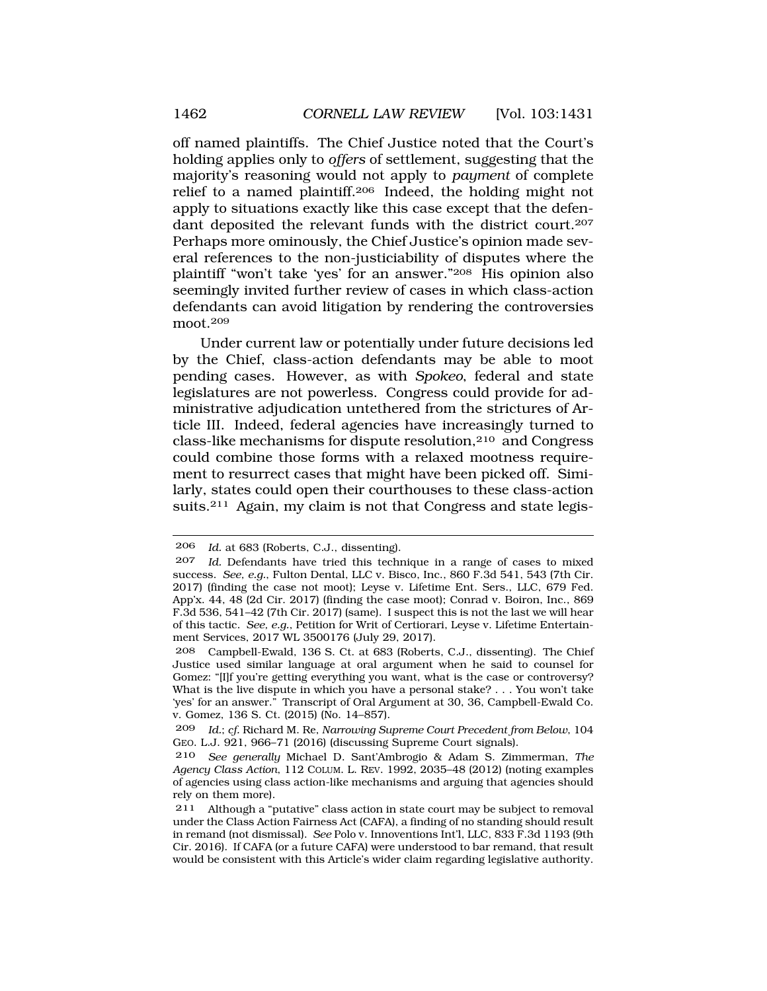off named plaintiffs. The Chief Justice noted that the Court's holding applies only to *offers* of settlement, suggesting that the majority's reasoning would not apply to *payment* of complete relief to a named plaintiff.206 Indeed, the holding might not apply to situations exactly like this case except that the defendant deposited the relevant funds with the district court.207 Perhaps more ominously, the Chief Justice's opinion made several references to the non-justiciability of disputes where the plaintiff "won't take 'yes' for an answer."208 His opinion also seemingly invited further review of cases in which class-action defendants can avoid litigation by rendering the controversies moot.209

Under current law or potentially under future decisions led by the Chief, class-action defendants may be able to moot pending cases. However, as with *Spokeo*, federal and state legislatures are not powerless. Congress could provide for administrative adjudication untethered from the strictures of Article III. Indeed, federal agencies have increasingly turned to class-like mechanisms for dispute resolution,210 and Congress could combine those forms with a relaxed mootness requirement to resurrect cases that might have been picked off. Similarly, states could open their courthouses to these class-action suits.<sup>211</sup> Again, my claim is not that Congress and state legis-

<sup>206</sup> *Id.* at 683 (Roberts, C.J., dissenting).

<sup>207</sup> *Id.* Defendants have tried this technique in a range of cases to mixed success. *See, e.g.*, Fulton Dental, LLC v. Bisco, Inc., 860 F.3d 541, 543 (7th Cir. 2017) (finding the case not moot); Leyse v. Lifetime Ent. Sers., LLC, 679 Fed. App'x. 44, 48 (2d Cir. 2017) (finding the case moot); Conrad v. Boiron, Inc., 869 F.3d 536, 541–42 (7th Cir. 2017) (same). I suspect this is not the last we will hear of this tactic. *See, e.g.*, Petition for Writ of Certiorari, Leyse v. Lifetime Entertainment Services, 2017 WL 3500176 (July 29, 2017).

<sup>208</sup> Campbell-Ewald, 136 S. Ct. at 683 (Roberts, C.J., dissenting). The Chief Justice used similar language at oral argument when he said to counsel for Gomez: "[I]f you're getting everything you want, what is the case or controversy? What is the live dispute in which you have a personal stake? . . . You won't take 'yes' for an answer." Transcript of Oral Argument at 30, 36, Campbell-Ewald Co. v. Gomez, 136 S. Ct. (2015) (No. 14–857).

<sup>209</sup> *Id.*; *cf.* Richard M. Re, *Narrowing Supreme Court Precedent from Below*, 104 GEO. L.J. 921, 966–71 (2016) (discussing Supreme Court signals).

<sup>210</sup> *See generally* Michael D. Sant'Ambrogio & Adam S. Zimmerman, *The Agency Class Action*, 112 COLUM. L. REV. 1992, 2035–48 (2012) (noting examples of agencies using class action-like mechanisms and arguing that agencies should rely on them more).

<sup>211</sup> Although a "putative" class action in state court may be subject to removal under the Class Action Fairness Act (CAFA), a finding of no standing should result in remand (not dismissal). *See* Polo v. Innoventions Int'l, LLC, 833 F.3d 1193 (9th Cir. 2016). If CAFA (or a future CAFA) were understood to bar remand, that result would be consistent with this Article's wider claim regarding legislative authority.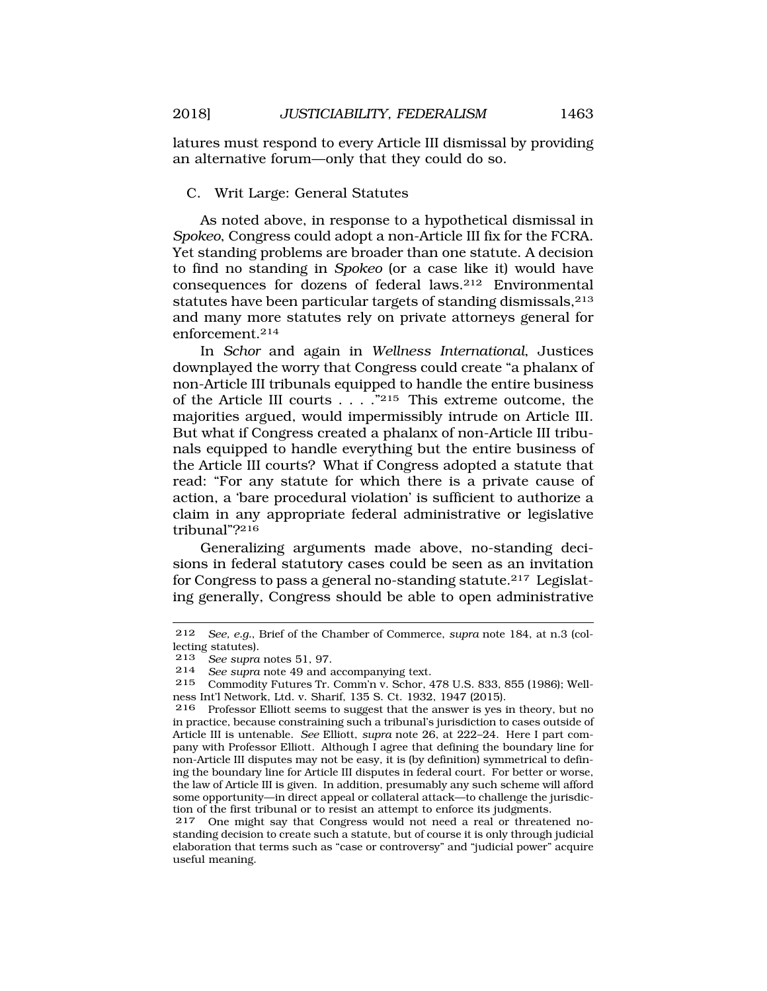latures must respond to every Article III dismissal by providing an alternative forum—only that they could do so.

C. Writ Large: General Statutes

As noted above, in response to a hypothetical dismissal in *Spokeo*, Congress could adopt a non-Article III fix for the FCRA. Yet standing problems are broader than one statute. A decision to find no standing in *Spokeo* (or a case like it) would have consequences for dozens of federal laws.212 Environmental statutes have been particular targets of standing dismissals, 213 and many more statutes rely on private attorneys general for enforcement.214

In *Schor* and again in *Wellness International*, Justices downplayed the worry that Congress could create "a phalanx of non-Article III tribunals equipped to handle the entire business of the Article III courts . . . ."215 This extreme outcome, the majorities argued, would impermissibly intrude on Article III. But what if Congress created a phalanx of non-Article III tribunals equipped to handle everything but the entire business of the Article III courts? What if Congress adopted a statute that read: "For any statute for which there is a private cause of action, a 'bare procedural violation' is sufficient to authorize a claim in any appropriate federal administrative or legislative tribunal"?216

Generalizing arguments made above, no-standing decisions in federal statutory cases could be seen as an invitation for Congress to pass a general no-standing statute.217 Legislating generally, Congress should be able to open administrative

<sup>212</sup> *See, e.g.*, Brief of the Chamber of Commerce, *supra* note 184, at n.3 (collecting statutes).

<sup>213</sup> *See supra* notes 51, 97.

<sup>214</sup> *See supra* note 49 and accompanying text.

<sup>215</sup> Commodity Futures Tr. Comm'n v. Schor, 478 U.S. 833, 855 (1986); Wellness Int'l Network, Ltd. v. Sharif, 135 S. Ct. 1932, 1947 (2015).

<sup>216</sup> Professor Elliott seems to suggest that the answer is yes in theory, but no in practice, because constraining such a tribunal's jurisdiction to cases outside of Article III is untenable. *See* Elliott, *supra* note 26, at 222–24. Here I part company with Professor Elliott. Although I agree that defining the boundary line for non-Article III disputes may not be easy, it is (by definition) symmetrical to defining the boundary line for Article III disputes in federal court. For better or worse, the law of Article III is given. In addition, presumably any such scheme will afford some opportunity—in direct appeal or collateral attack—to challenge the jurisdiction of the first tribunal or to resist an attempt to enforce its judgments.<br>217 One might say that Congress would not need a real or threate

<sup>217</sup> One might say that Congress would not need a real or threatened nostanding decision to create such a statute, but of course it is only through judicial elaboration that terms such as "case or controversy" and "judicial power" acquire useful meaning.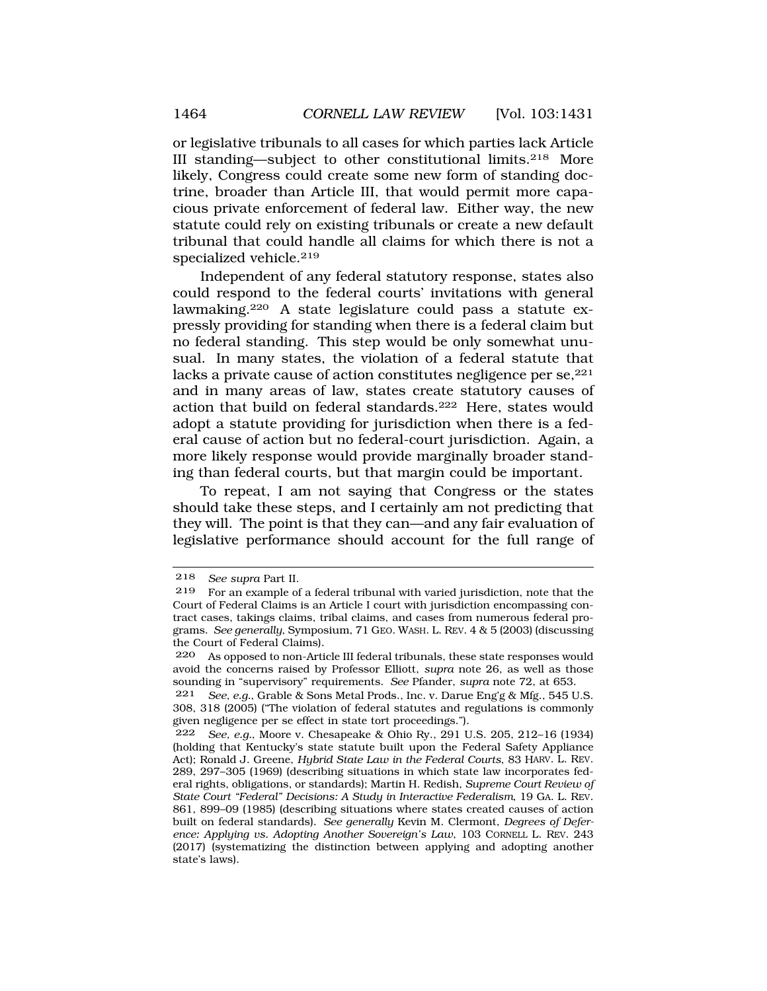or legislative tribunals to all cases for which parties lack Article III standing—subject to other constitutional limits.218 More likely, Congress could create some new form of standing doctrine, broader than Article III, that would permit more capacious private enforcement of federal law. Either way, the new statute could rely on existing tribunals or create a new default tribunal that could handle all claims for which there is not a specialized vehicle.<sup>219</sup>

Independent of any federal statutory response, states also could respond to the federal courts' invitations with general lawmaking.220 A state legislature could pass a statute expressly providing for standing when there is a federal claim but no federal standing. This step would be only somewhat unusual. In many states, the violation of a federal statute that lacks a private cause of action constitutes negligence per se, <sup>221</sup> and in many areas of law, states create statutory causes of action that build on federal standards.222 Here, states would adopt a statute providing for jurisdiction when there is a federal cause of action but no federal-court jurisdiction. Again, a more likely response would provide marginally broader standing than federal courts, but that margin could be important.

To repeat, I am not saying that Congress or the states should take these steps, and I certainly am not predicting that they will. The point is that they can—and any fair evaluation of legislative performance should account for the full range of

<sup>218</sup> *See supra* Part II.

<sup>219</sup> For an example of a federal tribunal with varied jurisdiction, note that the Court of Federal Claims is an Article I court with jurisdiction encompassing contract cases, takings claims, tribal claims, and cases from numerous federal programs. *See generally*, Symposium, 71 GEO. WASH. L. REV. 4 & 5 (2003) (discussing the Court of Federal Claims).

<sup>220</sup> As opposed to non-Article III federal tribunals, these state responses would avoid the concerns raised by Professor Elliott, *supra* note 26, as well as those sounding in "supervisory" requirements. *See* Pfander, *supra* note 72, at 653.

<sup>221</sup> *See, e.g.*, Grable & Sons Metal Prods., Inc. v. Darue Eng'g & Mfg., 545 U.S. 308, 318 (2005) ("The violation of federal statutes and regulations is commonly given negligence per se effect in state tort proceedings.").

<sup>222</sup> *See, e.g.*, Moore v. Chesapeake & Ohio Ry., 291 U.S. 205, 212–16 (1934) (holding that Kentucky's state statute built upon the Federal Safety Appliance Act); Ronald J. Greene, *Hybrid State Law in the Federal Courts*, 83 HARV. L. REV. 289, 297–305 (1969) (describing situations in which state law incorporates federal rights, obligations, or standards); Martin H. Redish, *Supreme Court Review of State Court "Federal" Decisions: A Study in Interactive Federalism*, 19 GA. L. REV. 861, 899–09 (1985) (describing situations where states created causes of action built on federal standards). *See generally* Kevin M. Clermont, *Degrees of Deference: Applying vs. Adopting Another Sovereign's Law*, 103 CORNELL L. REV. 243 (2017) (systematizing the distinction between applying and adopting another state's laws).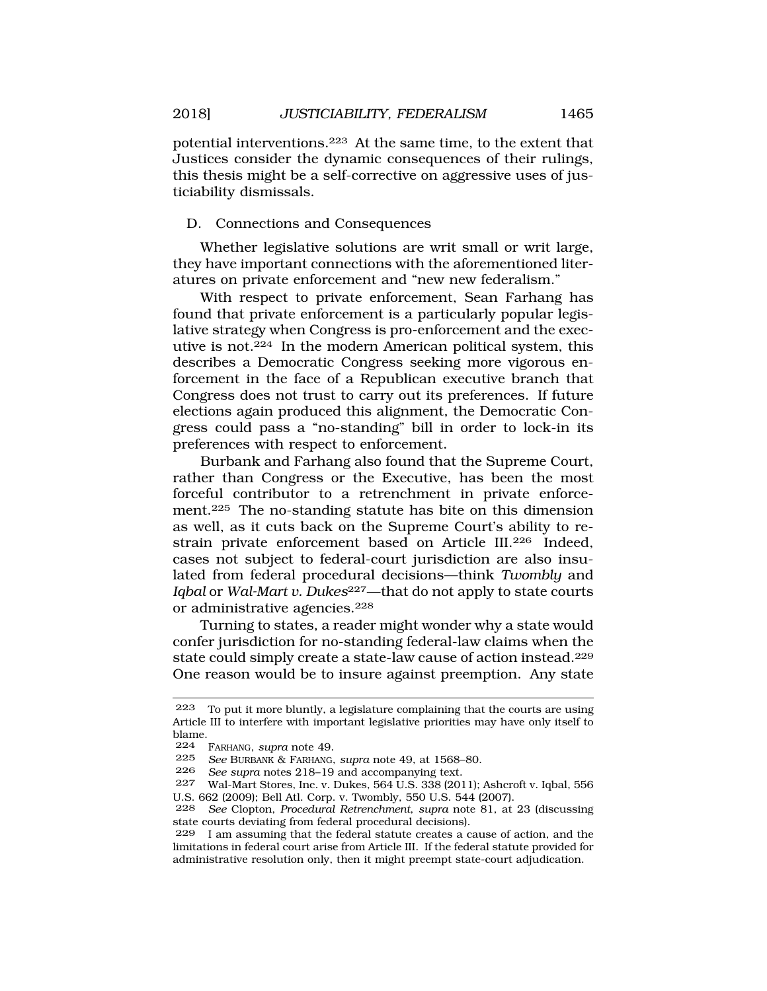potential interventions.223 At the same time, to the extent that Justices consider the dynamic consequences of their rulings, this thesis might be a self-corrective on aggressive uses of justiciability dismissals.

## D. Connections and Consequences

Whether legislative solutions are writ small or writ large, they have important connections with the aforementioned literatures on private enforcement and "new new federalism."

With respect to private enforcement, Sean Farhang has found that private enforcement is a particularly popular legislative strategy when Congress is pro-enforcement and the executive is not.224 In the modern American political system, this describes a Democratic Congress seeking more vigorous enforcement in the face of a Republican executive branch that Congress does not trust to carry out its preferences. If future elections again produced this alignment, the Democratic Congress could pass a "no-standing" bill in order to lock-in its preferences with respect to enforcement.

Burbank and Farhang also found that the Supreme Court, rather than Congress or the Executive, has been the most forceful contributor to a retrenchment in private enforcement.225 The no-standing statute has bite on this dimension as well, as it cuts back on the Supreme Court's ability to restrain private enforcement based on Article III.<sup>226</sup> Indeed, cases not subject to federal-court jurisdiction are also insulated from federal procedural decisions—think *Twombly* and *Iqbal* or *Wal-Mart v. Dukes*227—that do not apply to state courts or administrative agencies.228

Turning to states, a reader might wonder why a state would confer jurisdiction for no-standing federal-law claims when the state could simply create a state-law cause of action instead.229 One reason would be to insure against preemption. Any state

<sup>223</sup> To put it more bluntly, a legislature complaining that the courts are using Article III to interfere with important legislative priorities may have only itself to blame.

<sup>224</sup> FARHANG, *supra* note 49.

<sup>225</sup> *See* BURBANK & FARHANG, *supra* note 49, at 1568–80.

<sup>226</sup> *See supra* notes 218–19 and accompanying text.

<sup>227</sup> Wal-Mart Stores, Inc. v. Dukes, 564 U.S. 338 (2011); Ashcroft v. Iqbal, 556 U.S. 662 (2009); Bell Atl. Corp. v. Twombly, 550 U.S. 544 (2007).

<sup>228</sup> *See* Clopton, *Procedural Retrenchment*, *supra* note 81, at 23 (discussing state courts deviating from federal procedural decisions).

<sup>229</sup> I am assuming that the federal statute creates a cause of action, and the limitations in federal court arise from Article III. If the federal statute provided for administrative resolution only, then it might preempt state-court adjudication.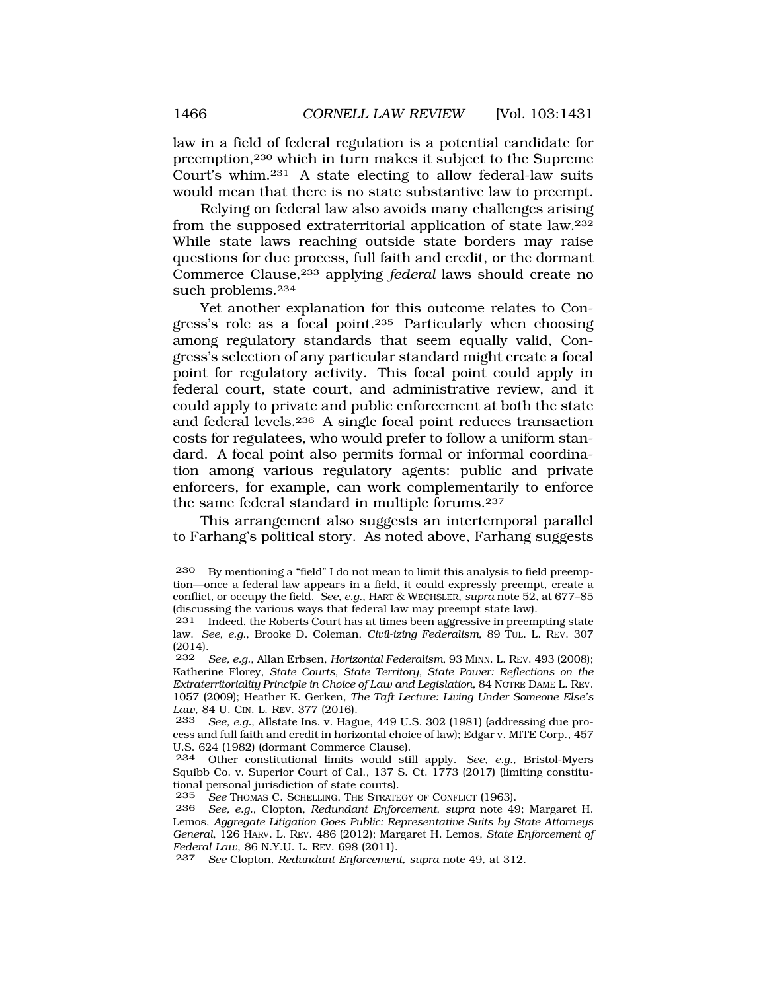law in a field of federal regulation is a potential candidate for preemption,230 which in turn makes it subject to the Supreme Court's whim.231 A state electing to allow federal-law suits would mean that there is no state substantive law to preempt.

Relying on federal law also avoids many challenges arising from the supposed extraterritorial application of state law.232 While state laws reaching outside state borders may raise questions for due process, full faith and credit, or the dormant Commerce Clause,233 applying *federal* laws should create no such problems.<sup>234</sup>

Yet another explanation for this outcome relates to Congress's role as a focal point.235 Particularly when choosing among regulatory standards that seem equally valid, Congress's selection of any particular standard might create a focal point for regulatory activity. This focal point could apply in federal court, state court, and administrative review, and it could apply to private and public enforcement at both the state and federal levels.236 A single focal point reduces transaction costs for regulatees, who would prefer to follow a uniform standard. A focal point also permits formal or informal coordination among various regulatory agents: public and private enforcers, for example, can work complementarily to enforce the same federal standard in multiple forums.237

This arrangement also suggests an intertemporal parallel to Farhang's political story. As noted above, Farhang suggests

<sup>230</sup> By mentioning a "field" I do not mean to limit this analysis to field preemption—once a federal law appears in a field, it could expressly preempt, create a conflict, or occupy the field. *See, e.g.*, HART & WECHSLER, *supra* note 52, at 677–85 (discussing the various ways that federal law may preempt state law).

<sup>231</sup> Indeed, the Roberts Court has at times been aggressive in preempting state law. *See, e.g.*, Brooke D. Coleman, *Civil-izing Federalism*, 89 TUL. L. REV. 307  $\begin{array}{c} (2014) \\ 232 \end{array}$ 

<sup>232</sup> *See, e.g.*, Allan Erbsen, *Horizontal Federalism*, 93 MINN. L. REV. 493 (2008); Katherine Florey, *State Courts, State Territory, State Power: Reflections on the Extraterritoriality Principle in Choice of Law and Legislation*, 84 NOTRE DAME L. REV. 1057 (2009); Heather K. Gerken, *The Taft Lecture: Living Under Someone Else's Law*, 84 U. CIN. L. REV. 377 (2016).

<sup>233</sup> *See, e.g.*, Allstate Ins. v. Hague, 449 U.S. 302 (1981) (addressing due process and full faith and credit in horizontal choice of law); Edgar v. MITE Corp., 457 U.S. 624 (1982) (dormant Commerce Clause).

<sup>234</sup> Other constitutional limits would still apply. *See, e.g.*, Bristol-Myers Squibb Co. v. Superior Court of Cal., 137 S. Ct. 1773 (2017) (limiting constitutional personal jurisdiction of state courts).<br>235 See Thomas C. SCHELLING THE STRATE

See THOMAS C. SCHELLING, THE STRATEGY OF CONFLICT (1963).

<sup>236</sup> *See, e.g.*, Clopton, *Redundant Enforcement*, *supra* note 49; Margaret H. Lemos, *Aggregate Litigation Goes Public: Representative Suits by State Attorneys General*, 126 HARV. L. REV. 486 (2012); Margaret H. Lemos, *State Enforcement of Federal Law*, 86 N.Y.U. L. REV. 698 (2011).

<sup>237</sup> *See* Clopton, *Redundant Enforcement*, *supra* note 49, at 312.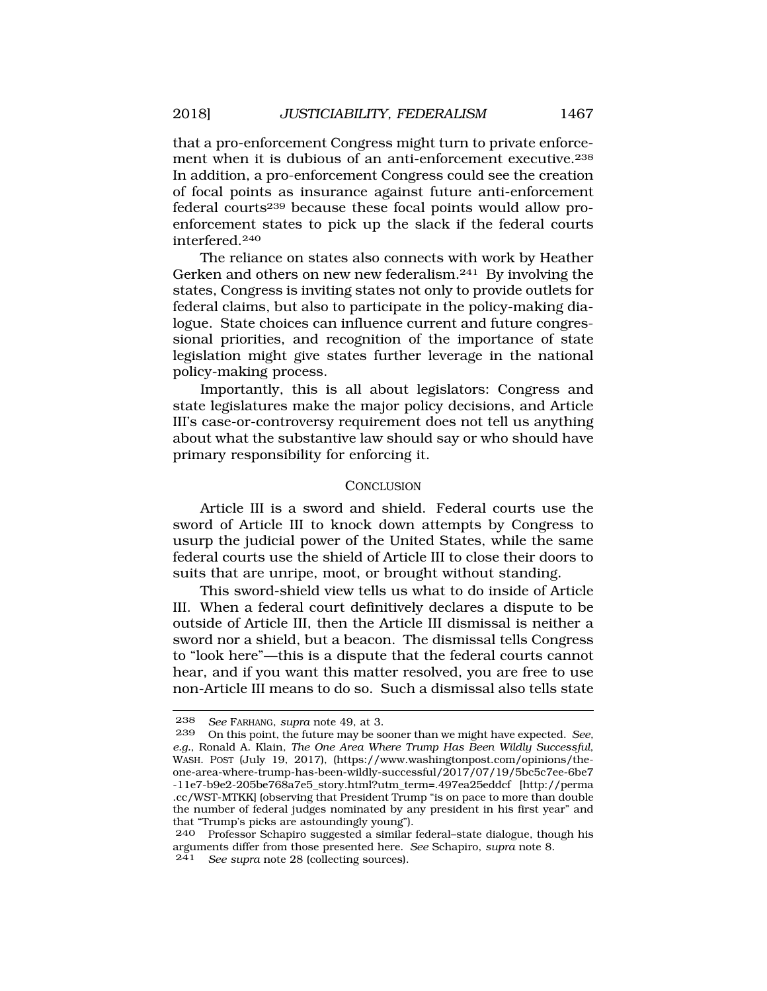that a pro-enforcement Congress might turn to private enforcement when it is dubious of an anti-enforcement executive.238 In addition, a pro-enforcement Congress could see the creation of focal points as insurance against future anti-enforcement federal courts239 because these focal points would allow proenforcement states to pick up the slack if the federal courts interfered.240

The reliance on states also connects with work by Heather Gerken and others on new new federalism.241 By involving the states, Congress is inviting states not only to provide outlets for federal claims, but also to participate in the policy-making dialogue. State choices can influence current and future congressional priorities, and recognition of the importance of state legislation might give states further leverage in the national policy-making process.

Importantly, this is all about legislators: Congress and state legislatures make the major policy decisions, and Article III's case-or-controversy requirement does not tell us anything about what the substantive law should say or who should have primary responsibility for enforcing it.

#### CONCLUSION

Article III is a sword and shield. Federal courts use the sword of Article III to knock down attempts by Congress to usurp the judicial power of the United States, while the same federal courts use the shield of Article III to close their doors to suits that are unripe, moot, or brought without standing.

This sword-shield view tells us what to do inside of Article III. When a federal court definitively declares a dispute to be outside of Article III, then the Article III dismissal is neither a sword nor a shield, but a beacon. The dismissal tells Congress to "look here"—this is a dispute that the federal courts cannot hear, and if you want this matter resolved, you are free to use non-Article III means to do so. Such a dismissal also tells state

<sup>238</sup> *See* FARHANG, *supra* note 49, at 3.

<sup>239</sup> On this point, the future may be sooner than we might have expected. *See, e.g.*, Ronald A. Klain, *The One Area Where Trump Has Been Wildly Successful*, WASH. POST (July 19, 2017), (<https://www.washingtonpost.com/opinions/the>one-area-where-trump-has-been-wildly-successful/2017/07/19/5bc5c7ee-6be7 -11e7-b9e2-205be768a7e5\_story.html?utm\_term=.497ea25eddcf [\[http://perma](http://perma) .cc/WST-MTKK] (observing that President Trump "is on pace to more than double the number of federal judges nominated by any president in his first year" and

that "Trump's picks are astoundingly young"). 240 Professor Schapiro suggested a similar federal–state dialogue, though his arguments differ from those presented here. *See* Schapiro, *supra* note 8. 241 *See supra* note 28 (collecting sources).